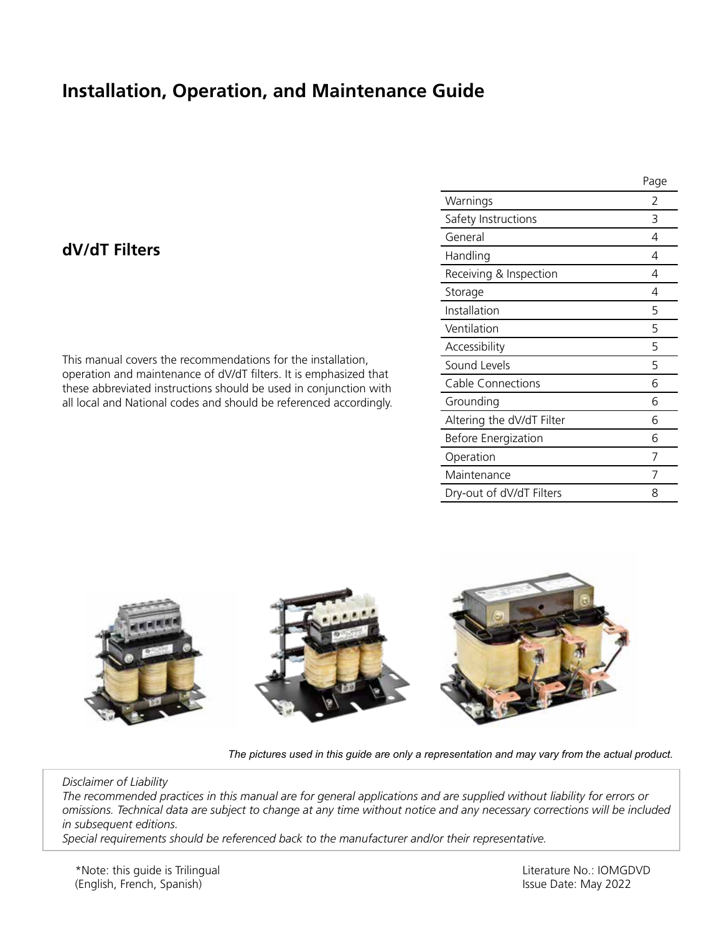# **Installation, Operation, and Maintenance Guide**

# **dV/dT Filters**

This manual covers the recommendations for the installation, operation and maintenance of dV/dT filters. It is emphasized that these abbreviated instructions should be used in conjunction with all local and National codes and should be referenced accordingly.

|                           | Page |
|---------------------------|------|
| Warnings                  | 2    |
| Safety Instructions       | 3    |
| General                   | 4    |
| Handling                  | 4    |
| Receiving & Inspection    | 4    |
| Storage                   | 4    |
| Installation              | 5    |
| Ventilation               | 5    |
| Accessibility             | 5    |
| Sound Levels              | 5    |
| Cable Connections         | 6    |
| Grounding                 | 6    |
| Altering the dV/dT Filter | 6    |
| Before Energization       | 6    |
| Operation                 | 7    |
| Maintenance               | 7    |
| Dry-out of dV/dT Filters  | 8    |



*The pictures used in this guide are only a representation and may vary from the actual product.*

*Disclaimer of Liability The recommended practices in this manual are for general applications and are supplied without liability for errors or omissions. Technical data are subject to change at any time without notice and any necessary corrections will be included in subsequent editions.*

*Special requirements should be referenced back to the manufacturer and/or their representative.*

Literature No.: IOMGDVD Issue Date: May 2022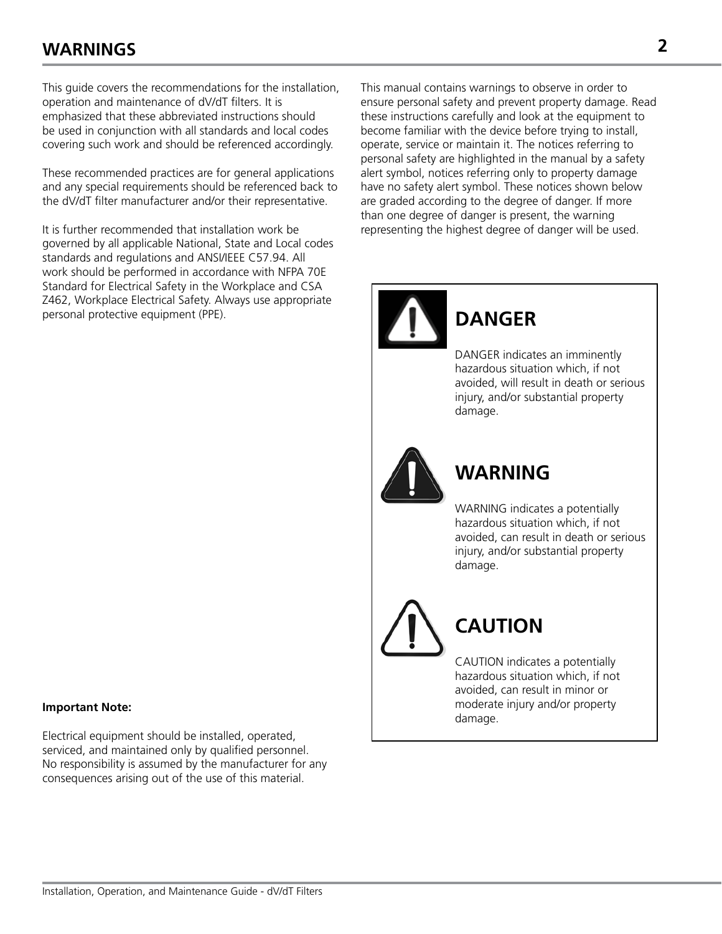# **WARNINGS 2**

This guide covers the recommendations for the installation, operation and maintenance of dV/dT filters. It is emphasized that these abbreviated instructions should be used in conjunction with all standards and local codes covering such work and should be referenced accordingly.

These recommended practices are for general applications and any special requirements should be referenced back to the dV/dT filter manufacturer and/or their representative.

It is further recommended that installation work be governed by all applicable National, State and Local codes standards and regulations and ANSI/IEEE C57.94. All work should be performed in accordance with NFPA 70E Standard for Electrical Safety in the Workplace and CSA Z462, Workplace Electrical Safety. Always use appropriate personal protective equipment (PPE).

#### **Important Note:**

Electrical equipment should be installed, operated, serviced, and maintained only by qualified personnel. No responsibility is assumed by the manufacturer for any consequences arising out of the use of this material.

This manual contains warnings to observe in order to ensure personal safety and prevent property damage. Read these instructions carefully and look at the equipment to become familiar with the device before trying to install, operate, service or maintain it. The notices referring to personal safety are highlighted in the manual by a safety alert symbol, notices referring only to property damage have no safety alert symbol. These notices shown below are graded according to the degree of danger. If more than one degree of danger is present, the warning representing the highest degree of danger will be used.



# **WARNING**

damage.

**DANGER**

WARNING indicates a potentially hazardous situation which, if not avoided, can result in death or serious injury, and/or substantial property damage.

DANGER indicates an imminently hazardous situation which, if not avoided, will result in death or serious injury, and/or substantial property

**CAUTION**

CAUTION indicates a potentially hazardous situation which, if not avoided, can result in minor or moderate injury and/or property damage.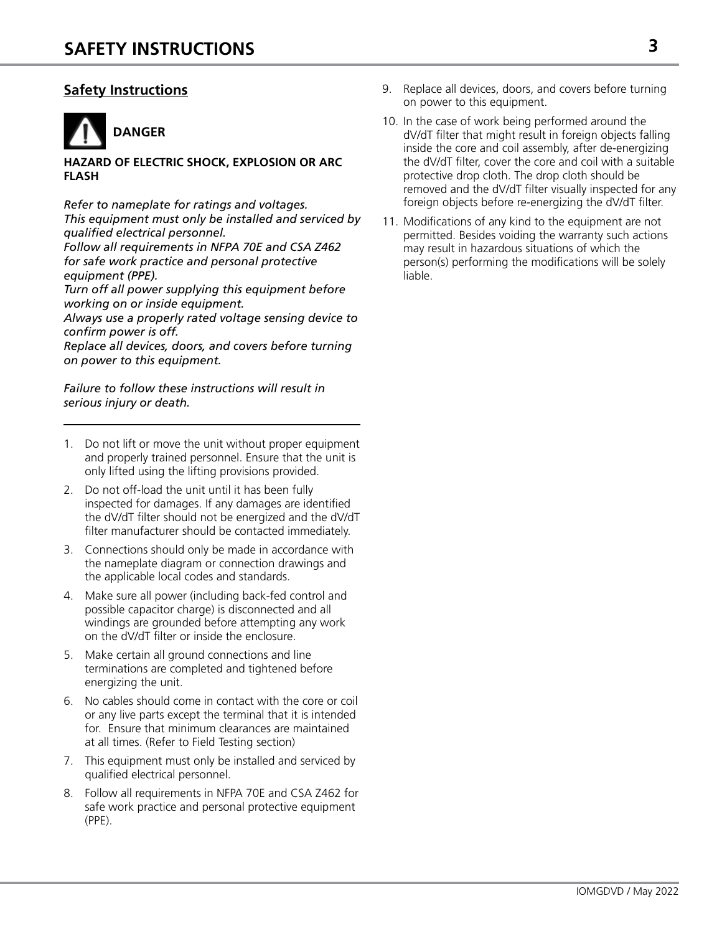# **Safety Instructions**



#### **HAZARD OF ELECTRIC SHOCK, EXPLOSION OR ARC FLASH**

*Refer to nameplate for ratings and voltages. This equipment must only be installed and serviced by qualified electrical personnel.*

*Follow all requirements in NFPA 70E and CSA Z462 for safe work practice and personal protective equipment (PPE).*

*Turn off all power supplying this equipment before working on or inside equipment.*

*Always use a properly rated voltage sensing device to confirm power is off.*

*Replace all devices, doors, and covers before turning on power to this equipment.*

*Failure to follow these instructions will result in serious injury or death.*

- 1. Do not lift or move the unit without proper equipment and properly trained personnel. Ensure that the unit is only lifted using the lifting provisions provided.
- 2. Do not off-load the unit until it has been fully inspected for damages. If any damages are identified the dV/dT filter should not be energized and the dV/dT filter manufacturer should be contacted immediately.
- 3. Connections should only be made in accordance with the nameplate diagram or connection drawings and the applicable local codes and standards.
- 4. Make sure all power (including back-fed control and possible capacitor charge) is disconnected and all windings are grounded before attempting any work on the dV/dT filter or inside the enclosure.
- 5. Make certain all ground connections and line terminations are completed and tightened before energizing the unit.
- 6. No cables should come in contact with the core or coil or any live parts except the terminal that it is intended for. Ensure that minimum clearances are maintained at all times. (Refer to Field Testing section)
- 7. This equipment must only be installed and serviced by qualified electrical personnel.
- 8. Follow all requirements in NFPA 70E and CSA Z462 for safe work practice and personal protective equipment (PPE).
- 9. Replace all devices, doors, and covers before turning on power to this equipment.
- 10. In the case of work being performed around the dV/dT filter that might result in foreign objects falling inside the core and coil assembly, after de-energizing the dV/dT filter, cover the core and coil with a suitable protective drop cloth. The drop cloth should be removed and the dV/dT filter visually inspected for any foreign objects before re-energizing the dV/dT filter.
- 11. Modifications of any kind to the equipment are not permitted. Besides voiding the warranty such actions may result in hazardous situations of which the person(s) performing the modifications will be solely liable.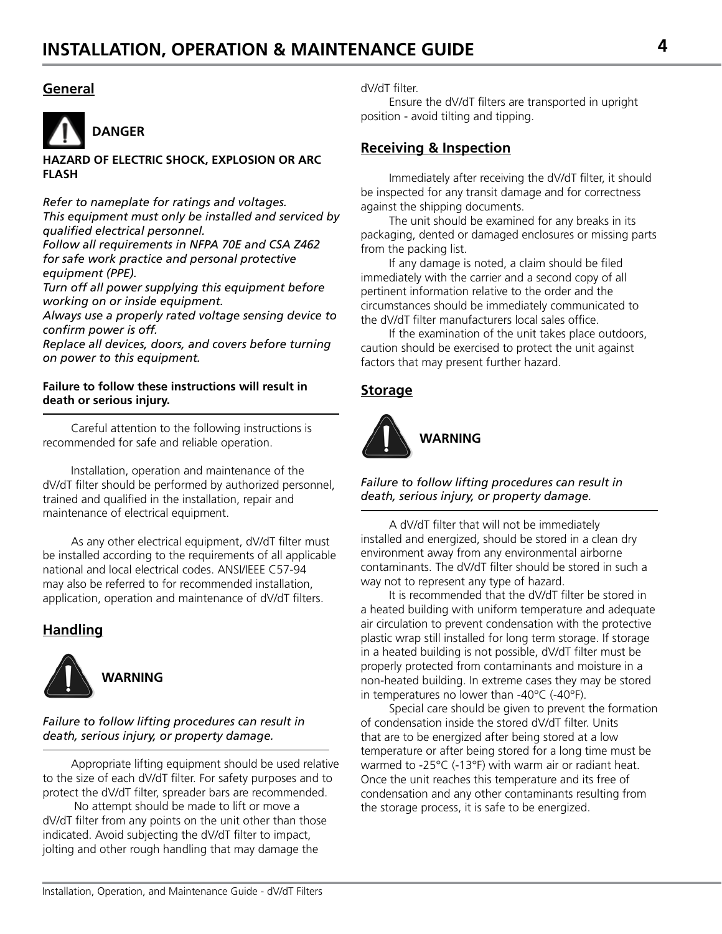### **General**



#### **HAZARD OF ELECTRIC SHOCK, EXPLOSION OR ARC FLASH**

*Refer to nameplate for ratings and voltages. This equipment must only be installed and serviced by qualified electrical personnel.*

*Follow all requirements in NFPA 70E and CSA Z462 for safe work practice and personal protective equipment (PPE).*

*Turn off all power supplying this equipment before working on or inside equipment.*

*Always use a properly rated voltage sensing device to confirm power is off.*

*Replace all devices, doors, and covers before turning on power to this equipment.*

#### **Failure to follow these instructions will result in death or serious injury.**

Careful attention to the following instructions is recommended for safe and reliable operation.

Installation, operation and maintenance of the dV/dT filter should be performed by authorized personnel, trained and qualified in the installation, repair and maintenance of electrical equipment.

As any other electrical equipment, dV/dT filter must be installed according to the requirements of all applicable national and local electrical codes. ANSI/IEEE C57-94 may also be referred to for recommended installation, application, operation and maintenance of dV/dT filters.

# **Handling**



**WARNING**

#### *Failure to follow lifting procedures can result in death, serious injury, or property damage.*

Appropriate lifting equipment should be used relative to the size of each dV/dT filter. For safety purposes and to protect the dV/dT filter, spreader bars are recommended.

 No attempt should be made to lift or move a dV/dT filter from any points on the unit other than those indicated. Avoid subjecting the dV/dT filter to impact, jolting and other rough handling that may damage the

dV/dT filter.

Ensure the dV/dT filters are transported in upright position - avoid tilting and tipping.

# **Receiving & Inspection**

Immediately after receiving the dV/dT filter, it should be inspected for any transit damage and for correctness against the shipping documents.

The unit should be examined for any breaks in its packaging, dented or damaged enclosures or missing parts from the packing list.

If any damage is noted, a claim should be filed immediately with the carrier and a second copy of all pertinent information relative to the order and the circumstances should be immediately communicated to the dV/dT filter manufacturers local sales office.

If the examination of the unit takes place outdoors, caution should be exercised to protect the unit against factors that may present further hazard.

# **Storage**



*Failure to follow lifting procedures can result in death, serious injury, or property damage.*

A dV/dT filter that will not be immediately installed and energized, should be stored in a clean dry environment away from any environmental airborne contaminants. The dV/dT filter should be stored in such a way not to represent any type of hazard.

It is recommended that the dV/dT filter be stored in a heated building with uniform temperature and adequate air circulation to prevent condensation with the protective plastic wrap still installed for long term storage. If storage in a heated building is not possible, dV/dT filter must be properly protected from contaminants and moisture in a non-heated building. In extreme cases they may be stored in temperatures no lower than -40°C (-40°F).

Special care should be given to prevent the formation of condensation inside the stored dV/dT filter. Units that are to be energized after being stored at a low temperature or after being stored for a long time must be warmed to -25°C (-13°F) with warm air or radiant heat. Once the unit reaches this temperature and its free of condensation and any other contaminants resulting from the storage process, it is safe to be energized.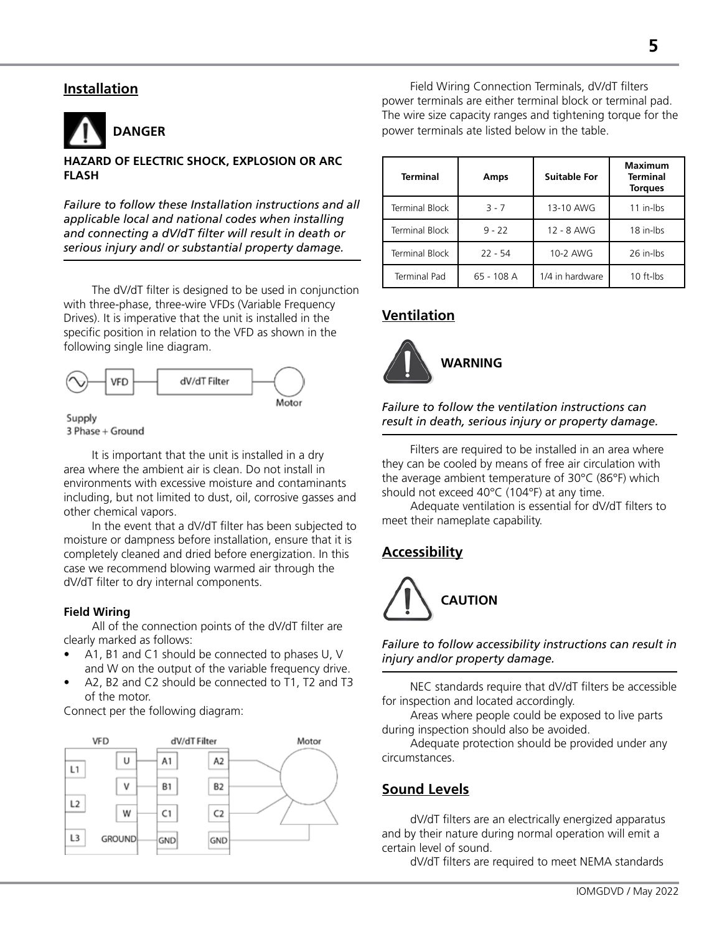### **Installation**



#### **HAZARD OF ELECTRIC SHOCK, EXPLOSION OR ARC FLASH**

*Failure to follow these Installation instructions and all applicable local and national codes when installing and connecting a dV/dT filter will result in death or serious injury and/ or substantial property damage.*

The dV/dT filter is designed to be used in conjunction with three-phase, three-wire VFDs (Variable Frequency Drives). It is imperative that the unit is installed in the specific position in relation to the VFD as shown in the following single line diagram.



Supply 3 Phase + Ground

It is important that the unit is installed in a dry area where the ambient air is clean. Do not install in environments with excessive moisture and contaminants including, but not limited to dust, oil, corrosive gasses and other chemical vapors.

In the event that a dV/dT filter has been subjected to moisture or dampness before installation, ensure that it is completely cleaned and dried before energization. In this case we recommend blowing warmed air through the dV/dT filter to dry internal components.

#### **Field Wiring**

All of the connection points of the dV/dT filter are clearly marked as follows:

- A1, B1 and C1 should be connected to phases U, V and W on the output of the variable frequency drive.
- A2, B2 and C2 should be connected to T1, T2 and T3 of the motor.

Connect per the following diagram:



Field Wiring Connection Terminals, dV/dT filters power terminals are either terminal block or terminal pad. The wire size capacity ranges and tightening torque for the power terminals ate listed below in the table.

| <b>Terminal</b>       | Amps       | <b>Suitable For</b> | <b>Maximum</b><br><b>Terminal</b><br><b>Torques</b> |
|-----------------------|------------|---------------------|-----------------------------------------------------|
| <b>Terminal Block</b> | $3 - 7$    | 13-10 AWG           | 11 in-lbs                                           |
| <b>Terminal Block</b> | $9 - 22$   | 12 - 8 AWG          | 18 in-lbs                                           |
| <b>Terminal Block</b> | $22 - 54$  | 10-2 AWG            | 26 in-lbs                                           |
| <b>Terminal Pad</b>   | 65 - 108 A | 1/4 in hardware     | 10 ft-lbs                                           |

# **Ventilation**



*Failure to follow the ventilation instructions can result in death, serious injury or property damage.*

Filters are required to be installed in an area where they can be cooled by means of free air circulation with the average ambient temperature of 30°C (86°F) which should not exceed 40°C (104°F) at any time.

Adequate ventilation is essential for dV/dT filters to meet their nameplate capability.

# **Accessibility**



#### *Failure to follow accessibility instructions can result in injury and/or property damage.*

NEC standards require that dV/dT filters be accessible for inspection and located accordingly.

Areas where people could be exposed to live parts during inspection should also be avoided.

Adequate protection should be provided under any circumstances.

# **Sound Levels**

dV/dT filters are an electrically energized apparatus and by their nature during normal operation will emit a certain level of sound.

dV/dT filters are required to meet NEMA standards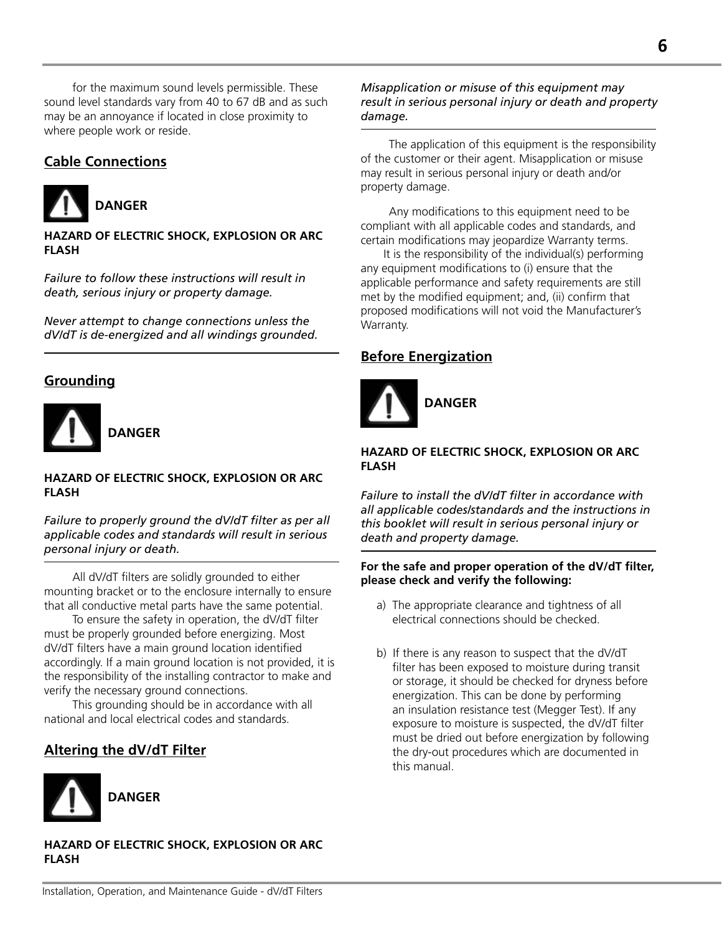for the maximum sound levels permissible. These sound level standards vary from 40 to 67 dB and as such may be an annoyance if located in close proximity to where people work or reside.

# **Cable Connections**



**HAZARD OF ELECTRIC SHOCK, EXPLOSION OR ARC FLASH**

*Failure to follow these instructions will result in death, serious injury or property damage.*

*Never attempt to change connections unless the dV/dT is de-energized and all windings grounded.*

# **Grounding**



 **DANGER**

#### **HAZARD OF ELECTRIC SHOCK, EXPLOSION OR ARC FLASH**

*Failure to properly ground the dV/dT filter as per all applicable codes and standards will result in serious personal injury or death.*

All dV/dT filters are solidly grounded to either mounting bracket or to the enclosure internally to ensure that all conductive metal parts have the same potential.

To ensure the safety in operation, the dV/dT filter must be properly grounded before energizing. Most dV/dT filters have a main ground location identified accordingly. If a main ground location is not provided, it is the responsibility of the installing contractor to make and verify the necessary ground connections.

This grounding should be in accordance with all national and local electrical codes and standards.

# **Altering the dV/dT Filter**



**HAZARD OF ELECTRIC SHOCK, EXPLOSION OR ARC FLASH**

#### *Misapplication or misuse of this equipment may result in serious personal injury or death and property damage.*

The application of this equipment is the responsibility of the customer or their agent. Misapplication or misuse may result in serious personal injury or death and/or property damage.

Any modifications to this equipment need to be compliant with all applicable codes and standards, and certain modifications may jeopardize Warranty terms.

 It is the responsibility of the individual(s) performing any equipment modifications to (i) ensure that the applicable performance and safety requirements are still met by the modified equipment; and, (ii) confirm that proposed modifications will not void the Manufacturer's Warranty.

### **Before Energization**



#### **HAZARD OF ELECTRIC SHOCK, EXPLOSION OR ARC FLASH**

*Failure to install the dV/dT filter in accordance with all applicable codes/standards and the instructions in this booklet will result in serious personal injury or death and property damage.*

#### **For the safe and proper operation of the dV/dT filter, please check and verify the following:**

- a) The appropriate clearance and tightness of all electrical connections should be checked.
- b) If there is any reason to suspect that the dV/dT filter has been exposed to moisture during transit or storage, it should be checked for dryness before energization. This can be done by performing an insulation resistance test (Megger Test). If any exposure to moisture is suspected, the dV/dT filter must be dried out before energization by following the dry-out procedures which are documented in this manual.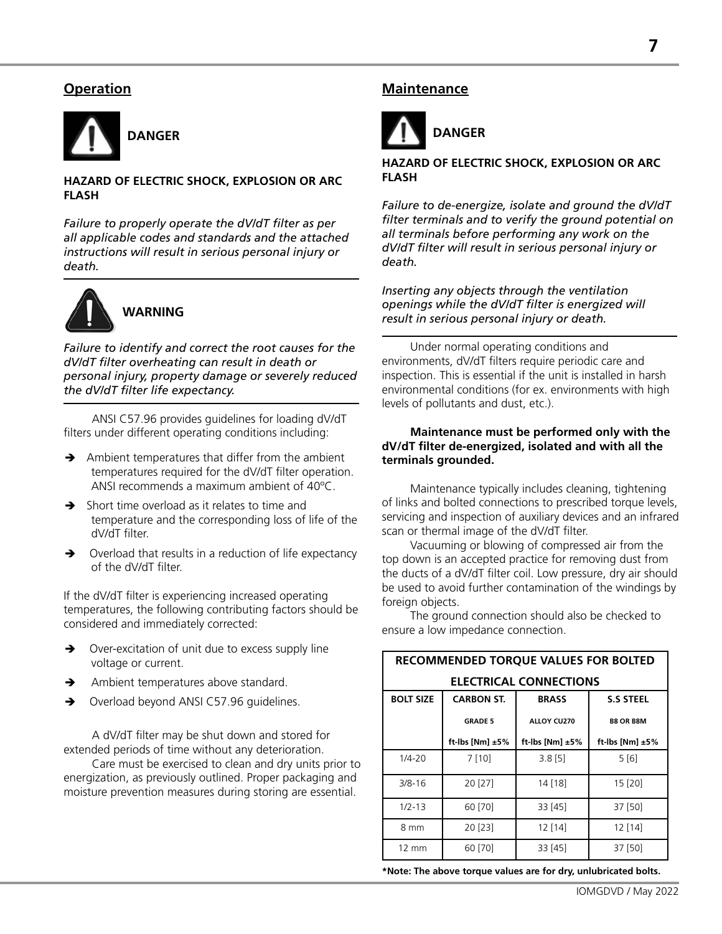# **Operation**



#### **HAZARD OF ELECTRIC SHOCK, EXPLOSION OR ARC FLASH**

*Failure to properly operate the dV/dT filter as per all applicable codes and standards and the attached instructions will result in serious personal injury or death.*



*Failure to identify and correct the root causes for the dV/dT filter overheating can result in death or personal injury, property damage or severely reduced the dV/dT filter life expectancy.*

ANSI C57.96 provides guidelines for loading dV/dT filters under different operating conditions including:

- $\rightarrow$  Ambient temperatures that differ from the ambient temperatures required for the dV/dT filter operation. ANSI recommends a maximum ambient of 40ºC.
- $\rightarrow$  Short time overload as it relates to time and temperature and the corresponding loss of life of the dV/dT filter.
- $\rightarrow$  Overload that results in a reduction of life expectancy of the dV/dT filter.

If the dV/dT filter is experiencing increased operating temperatures, the following contributing factors should be considered and immediately corrected:

- → Over-excitation of unit due to excess supply line voltage or current.
- Ambient temperatures above standard.
- → Overload beyond ANSI C57.96 quidelines.

A dV/dT filter may be shut down and stored for extended periods of time without any deterioration.

Care must be exercised to clean and dry units prior to energization, as previously outlined. Proper packaging and moisture prevention measures during storing are essential.

#### **Maintenance**



#### **HAZARD OF ELECTRIC SHOCK, EXPLOSION OR ARC FLASH**

*Failure to de-energize, isolate and ground the dV/dT filter terminals and to verify the ground potential on all terminals before performing any work on the dV/dT filter will result in serious personal injury or death.*

*Inserting any objects through the ventilation openings while the dV/dT filter is energized will result in serious personal injury or death.*

Under normal operating conditions and environments, dV/dT filters require periodic care and inspection. This is essential if the unit is installed in harsh environmental conditions (for ex. environments with high levels of pollutants and dust, etc.).

#### **Maintenance must be performed only with the dV/dT filter de-energized, isolated and with all the terminals grounded.**

Maintenance typically includes cleaning, tightening of links and bolted connections to prescribed torque levels, servicing and inspection of auxiliary devices and an infrared scan or thermal image of the dV/dT filter.

Vacuuming or blowing of compressed air from the top down is an accepted practice for removing dust from the ducts of a dV/dT filter coil. Low pressure, dry air should be used to avoid further contamination of the windings by foreign objects.

The ground connection should also be checked to ensure a low impedance connection.

| <b>RECOMMENDED TORQUE VALUES FOR BOLTED</b> |                                                       |                    |                    |  |  |  |
|---------------------------------------------|-------------------------------------------------------|--------------------|--------------------|--|--|--|
| <b>ELECTRICAL CONNECTIONS</b>               |                                                       |                    |                    |  |  |  |
| <b>BOLT SIZE</b>                            | <b>CARBON ST.</b><br><b>BRASS</b><br><b>S.S STEEL</b> |                    |                    |  |  |  |
|                                             | <b>GRADE 5</b>                                        | ALLOY CU270        | <b>B8 OR B8M</b>   |  |  |  |
|                                             | ft-lbs [Nm] $±5\%$                                    | ft-lbs [Nm] $±5\%$ | ft-lbs [Nm] $±5\%$ |  |  |  |
| $1/4 - 20$                                  | 7 [10]                                                | $3.8$ [5]          | 5[6]               |  |  |  |
| $3/8 - 16$                                  | 20 [27]                                               | 14 [18]            | 15 [20]            |  |  |  |
| $1/2 - 13$                                  | 60 [70]                                               | 33 [45]            | 37 [50]            |  |  |  |
| 8 mm                                        | 20 [23]                                               | 12 [14]            | 12 [14]            |  |  |  |
| $12 \text{ mm}$                             | 60 [70]                                               | 33 [45]            | 37 [50]            |  |  |  |

**\*Note: The above torque values are for dry, unlubricated bolts.**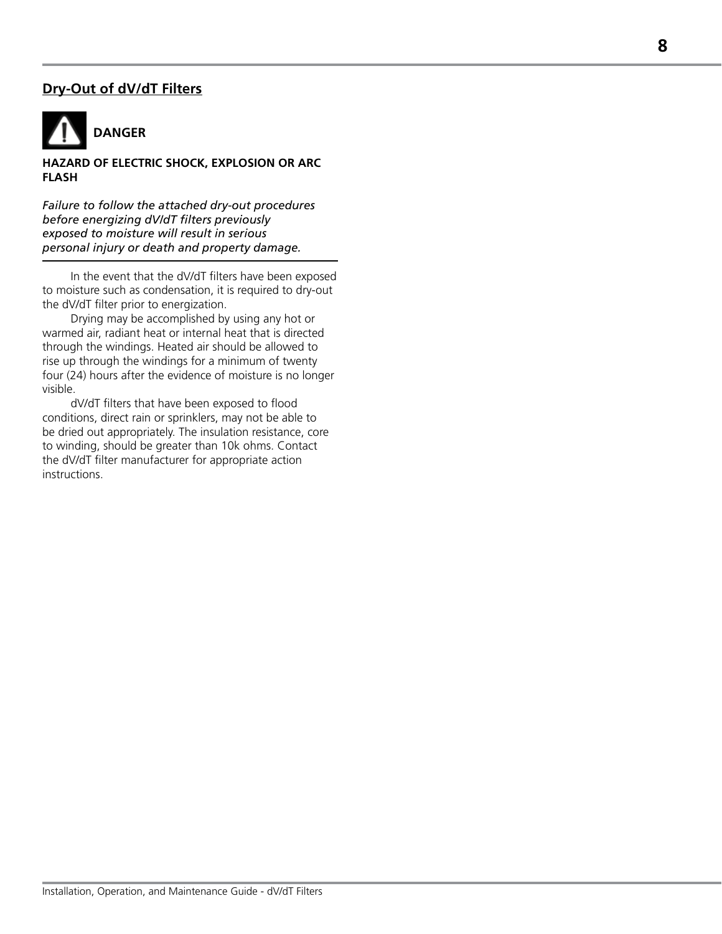# **Dry-Out of dV/dT Filters**



#### **HAZARD OF ELECTRIC SHOCK, EXPLOSION OR ARC FLASH**

*Failure to follow the attached dry-out procedures before energizing dV/dT filters previously exposed to moisture will result in serious personal injury or death and property damage.*

In the event that the dV/dT filters have been exposed to moisture such as condensation, it is required to dry-out the dV/dT filter prior to energization.

Drying may be accomplished by using any hot or warmed air, radiant heat or internal heat that is directed through the windings. Heated air should be allowed to rise up through the windings for a minimum of twenty four (24) hours after the evidence of moisture is no longer visible.

dV/dT filters that have been exposed to flood conditions, direct rain or sprinklers, may not be able to be dried out appropriately. The insulation resistance, core to winding, should be greater than 10k ohms. Contact the dV/dT filter manufacturer for appropriate action instructions.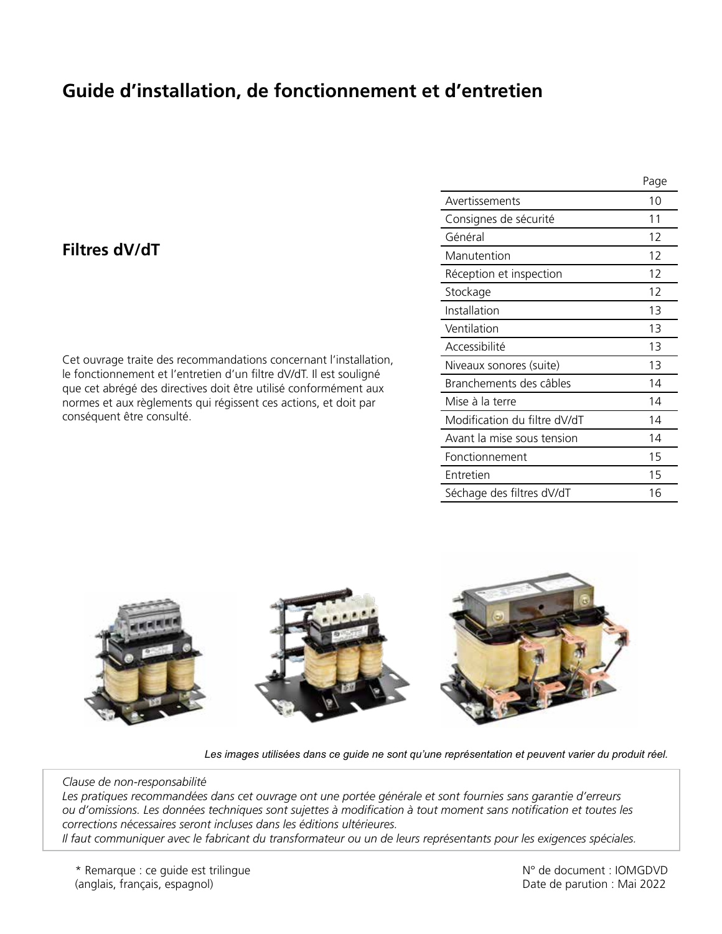# **Guide d'installation, de fonctionnement et d'entretien**

# **Filtres dV/dT**

Cet ouvrage traite des recommandations concernant l'installation, le fonctionnement et l'entretien d'un filtre dV/dT. Il est souligné que cet abrégé des directives doit être utilisé conformément aux normes et aux règlements qui régissent ces actions, et doit par conséquent être consulté.

|                              | Page |
|------------------------------|------|
| Avertissements               | 10   |
| Consignes de sécurité        | 11   |
| Général                      | 12   |
| Manutention                  | 12   |
| Réception et inspection      | 12   |
| Stockage                     | 12   |
| Installation                 | 13   |
| Ventilation                  | 13   |
| Accessibilité                | 13   |
| Niveaux sonores (suite)      | 13   |
| Branchements des câbles      | 14   |
| Mise à la terre              | 14   |
| Modification du filtre dV/dT | 14   |
| Avant la mise sous tension   | 14   |
| Fonctionnement               | 15   |
| Entretien                    | 15   |
| Séchage des filtres dV/dT    | 16   |



*Les images utilisées dans ce guide ne sont qu'une représentation et peuvent varier du produit réel.*

#### *Clause de non-responsabilité*

*Les pratiques recommandées dans cet ouvrage ont une portée générale et sont fournies sans garantie d'erreurs ou d'omissions. Les données techniques sont sujettes à modification à tout moment sans notification et toutes les corrections nécessaires seront incluses dans les éditions ultérieures.*

*Il faut communiquer avec le fabricant du transformateur ou un de leurs représentants pour les exigences spéciales.*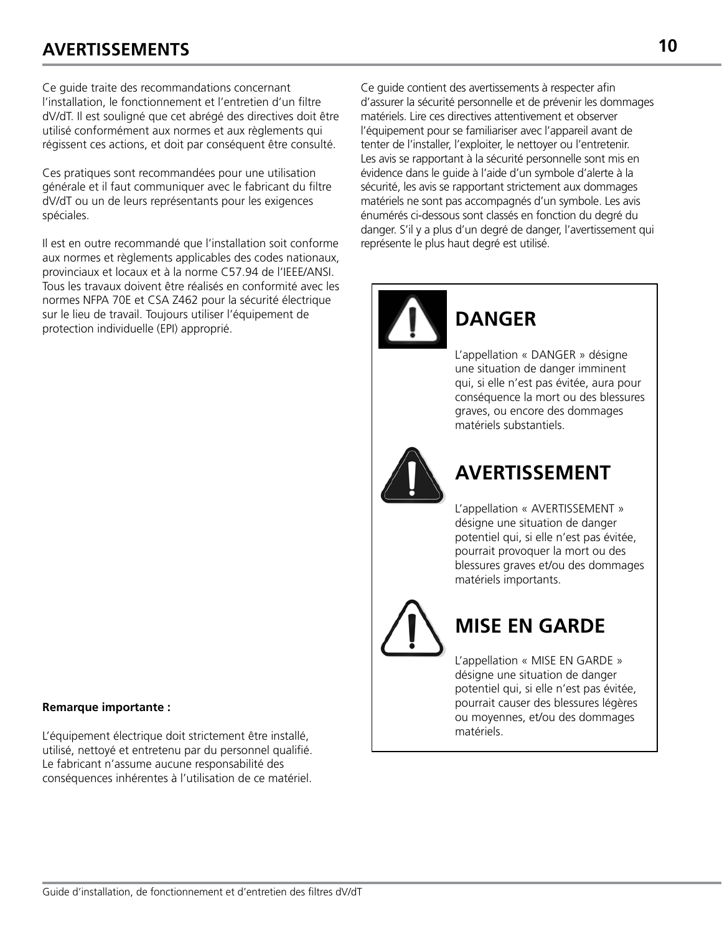# **AVERTISSEMENTS 10**

Ce guide traite des recommandations concernant l'installation, le fonctionnement et l'entretien d'un filtre dV/dT. Il est souligné que cet abrégé des directives doit être utilisé conformément aux normes et aux règlements qui régissent ces actions, et doit par conséquent être consulté.

Ces pratiques sont recommandées pour une utilisation générale et il faut communiquer avec le fabricant du filtre dV/dT ou un de leurs représentants pour les exigences spéciales.

Il est en outre recommandé que l'installation soit conforme aux normes et règlements applicables des codes nationaux, provinciaux et locaux et à la norme C57.94 de l'IEEE/ANSI. Tous les travaux doivent être réalisés en conformité avec les normes NFPA 70E et CSA Z462 pour la sécurité électrique sur le lieu de travail. Toujours utiliser l'équipement de protection individuelle (EPI) approprié.

#### **Remarque importante :**

L'équipement électrique doit strictement être installé, utilisé, nettoyé et entretenu par du personnel qualifié. Le fabricant n'assume aucune responsabilité des conséquences inhérentes à l'utilisation de ce matériel.

Ce guide contient des avertissements à respecter afin d'assurer la sécurité personnelle et de prévenir les dommages matériels. Lire ces directives attentivement et observer l'équipement pour se familiariser avec l'appareil avant de tenter de l'installer, l'exploiter, le nettoyer ou l'entretenir. Les avis se rapportant à la sécurité personnelle sont mis en évidence dans le guide à l'aide d'un symbole d'alerte à la sécurité, les avis se rapportant strictement aux dommages matériels ne sont pas accompagnés d'un symbole. Les avis énumérés ci-dessous sont classés en fonction du degré du danger. S'il y a plus d'un degré de danger, l'avertissement qui représente le plus haut degré est utilisé.

# L'appellation « DANGER » désigne **DANGER**

une situation de danger imminent qui, si elle n'est pas évitée, aura pour conséquence la mort ou des blessures graves, ou encore des dommages matériels substantiels.



# **AVERTISSEMENT**

L'appellation « AVERTISSEMENT » désigne une situation de danger potentiel qui, si elle n'est pas évitée, pourrait provoquer la mort ou des blessures graves et/ou des dommages matériels importants.

# **MISE EN GARDE**

L'appellation « MISE EN GARDE » désigne une situation de danger potentiel qui, si elle n'est pas évitée, pourrait causer des blessures légères ou moyennes, et/ou des dommages matériels.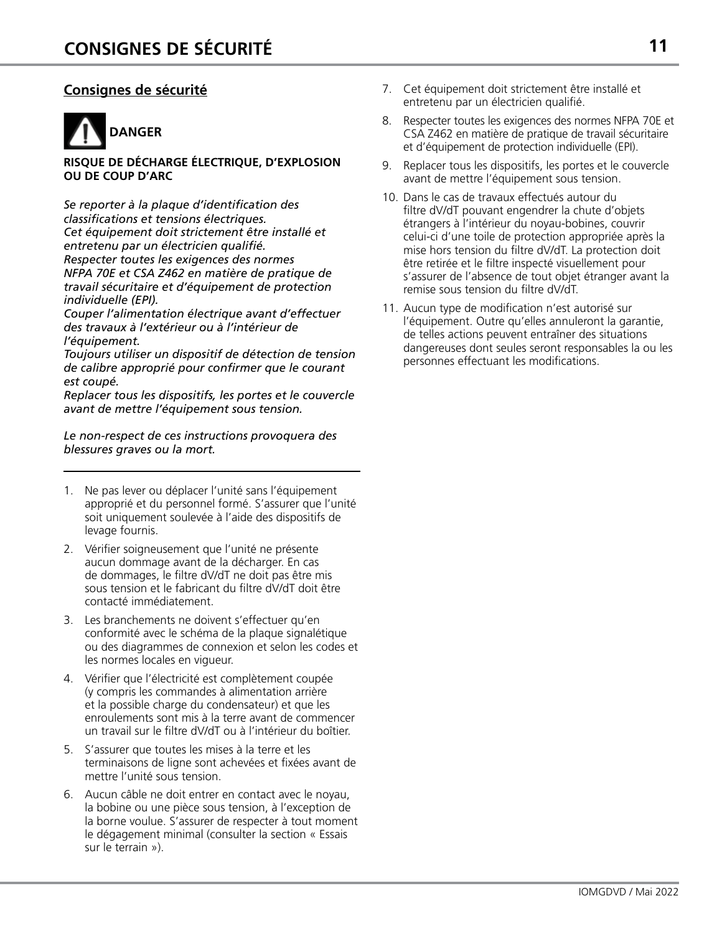# **Consignes de sécurité**



#### **RISQUE DE DÉCHARGE ÉLECTRIQUE, D'EXPLOSION OU DE COUP D'ARC**

*Se reporter à la plaque d'identification des classifications et tensions électriques. Cet équipement doit strictement être installé et entretenu par un électricien qualifié. Respecter toutes les exigences des normes NFPA 70E et CSA Z462 en matière de pratique de travail sécuritaire et d'équipement de protection individuelle (EPI).*

*Couper l'alimentation électrique avant d'effectuer des travaux à l'extérieur ou à l'intérieur de l'équipement.*

*Toujours utiliser un dispositif de détection de tension de calibre approprié pour confirmer que le courant est coupé.*

*Replacer tous les dispositifs, les portes et le couvercle avant de mettre l'équipement sous tension.*

*Le non-respect de ces instructions provoquera des blessures graves ou la mort.*

- 1. Ne pas lever ou déplacer l'unité sans l'équipement approprié et du personnel formé. S'assurer que l'unité soit uniquement soulevée à l'aide des dispositifs de levage fournis.
- 2. Vérifier soigneusement que l'unité ne présente aucun dommage avant de la décharger. En cas de dommages, le filtre dV/dT ne doit pas être mis sous tension et le fabricant du filtre dV/dT doit être contacté immédiatement.
- 3. Les branchements ne doivent s'effectuer qu'en conformité avec le schéma de la plaque signalétique ou des diagrammes de connexion et selon les codes et les normes locales en vigueur.
- 4. Vérifier que l'électricité est complètement coupée (y compris les commandes à alimentation arrière et la possible charge du condensateur) et que les enroulements sont mis à la terre avant de commencer un travail sur le filtre dV/dT ou à l'intérieur du boîtier.
- 5. S'assurer que toutes les mises à la terre et les terminaisons de ligne sont achevées et fixées avant de mettre l'unité sous tension.
- 6. Aucun câble ne doit entrer en contact avec le noyau, la bobine ou une pièce sous tension, à l'exception de la borne voulue. S'assurer de respecter à tout moment le dégagement minimal (consulter la section « Essais sur le terrain »).
- 7. Cet équipement doit strictement être installé et entretenu par un électricien qualifié.
- 8. Respecter toutes les exigences des normes NFPA 70E et CSA Z462 en matière de pratique de travail sécuritaire et d'équipement de protection individuelle (EPI).
- 9. Replacer tous les dispositifs, les portes et le couvercle avant de mettre l'équipement sous tension.
- 10. Dans le cas de travaux effectués autour du filtre dV/dT pouvant engendrer la chute d'objets étrangers à l'intérieur du noyau-bobines, couvrir celui-ci d'une toile de protection appropriée après la mise hors tension du filtre dV/dT. La protection doit être retirée et le filtre inspecté visuellement pour s'assurer de l'absence de tout objet étranger avant la remise sous tension du filtre dV/dT.
- 11. Aucun type de modification n'est autorisé sur l'équipement. Outre qu'elles annuleront la garantie, de telles actions peuvent entraîner des situations dangereuses dont seules seront responsables la ou les personnes effectuant les modifications.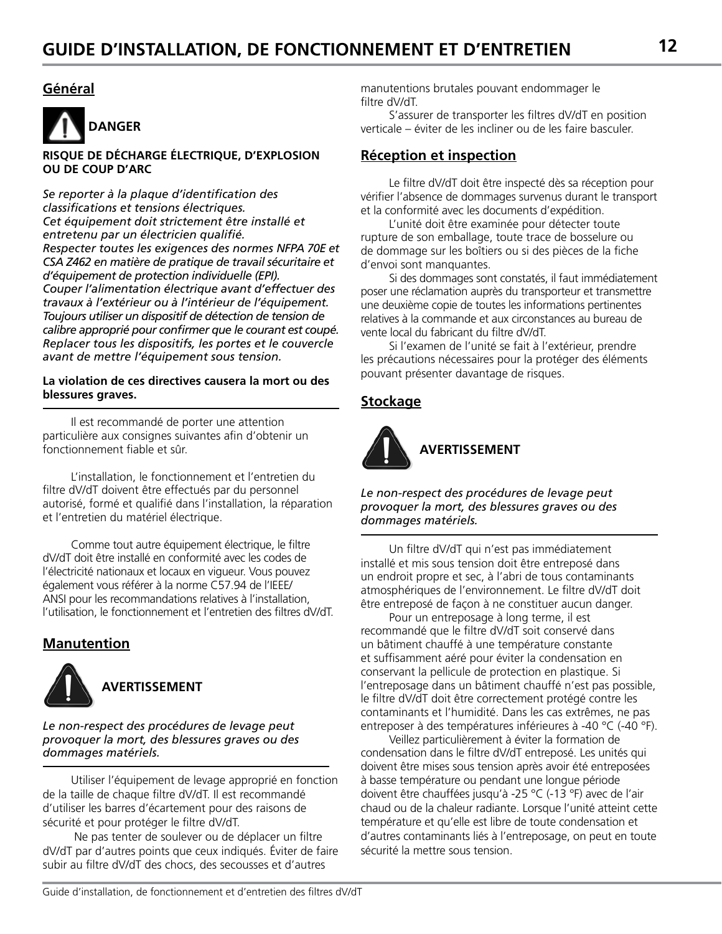# **Général**



**RISQUE DE DÉCHARGE ÉLECTRIQUE, D'EXPLOSION OU DE COUP D'ARC**

*Se reporter à la plaque d'identification des classifications et tensions électriques. Cet équipement doit strictement être installé et entretenu par un électricien qualifié. Respecter toutes les exigences des normes NFPA 70E et CSA Z462 en matière de pratique de travail sécuritaire et d'équipement de protection individuelle (EPI). Couper l'alimentation électrique avant d'effectuer des travaux à l'extérieur ou à l'intérieur de l'équipement. Toujours utiliser un dispositif de détection de tension de calibre approprié pour confirmer que le courant est coupé. Replacer tous les dispositifs, les portes et le couvercle avant de mettre l'équipement sous tension.*

#### **La violation de ces directives causera la mort ou des blessures graves.**

Il est recommandé de porter une attention particulière aux consignes suivantes afin d'obtenir un fonctionnement fiable et sûr.

L'installation, le fonctionnement et l'entretien du filtre dV/dT doivent être effectués par du personnel autorisé, formé et qualifié dans l'installation, la réparation et l'entretien du matériel électrique.

Comme tout autre équipement électrique, le filtre dV/dT doit être installé en conformité avec les codes de l'électricité nationaux et locaux en vigueur. Vous pouvez également vous référer à la norme C57.94 de l'IEEE/ ANSI pour les recommandations relatives à l'installation, l'utilisation, le fonctionnement et l'entretien des filtres dV/dT.

# **Manutention**



*Le non-respect des procédures de levage peut provoquer la mort, des blessures graves ou des dommages matériels.*

Utiliser l'équipement de levage approprié en fonction de la taille de chaque filtre dV/dT. Il est recommandé d'utiliser les barres d'écartement pour des raisons de sécurité et pour protéger le filtre dV/dT.

 Ne pas tenter de soulever ou de déplacer un filtre dV/dT par d'autres points que ceux indiqués. Éviter de faire subir au filtre dV/dT des chocs, des secousses et d'autres

manutentions brutales pouvant endommager le filtre dV/dT.

S'assurer de transporter les filtres dV/dT en position verticale – éviter de les incliner ou de les faire basculer.

### **Réception et inspection**

Le filtre dV/dT doit être inspecté dès sa réception pour vérifier l'absence de dommages survenus durant le transport et la conformité avec les documents d'expédition.

L'unité doit être examinée pour détecter toute rupture de son emballage, toute trace de bosselure ou de dommage sur les boîtiers ou si des pièces de la fiche d'envoi sont manquantes.

Si des dommages sont constatés, il faut immédiatement poser une réclamation auprès du transporteur et transmettre une deuxième copie de toutes les informations pertinentes relatives à la commande et aux circonstances au bureau de vente local du fabricant du filtre dV/dT.

Si l'examen de l'unité se fait à l'extérieur, prendre les précautions nécessaires pour la protéger des éléments pouvant présenter davantage de risques.

# **Stockage**



*Le non-respect des procédures de levage peut provoquer la mort, des blessures graves ou des dommages matériels.*

Un filtre dV/dT qui n'est pas immédiatement installé et mis sous tension doit être entreposé dans un endroit propre et sec, à l'abri de tous contaminants atmosphériques de l'environnement. Le filtre dV/dT doit être entreposé de façon à ne constituer aucun danger.

Pour un entreposage à long terme, il est recommandé que le filtre dV/dT soit conservé dans un bâtiment chauffé à une température constante et suffisamment aéré pour éviter la condensation en conservant la pellicule de protection en plastique. Si l'entreposage dans un bâtiment chauffé n'est pas possible, le filtre dV/dT doit être correctement protégé contre les contaminants et l'humidité. Dans les cas extrêmes, ne pas entreposer à des températures inférieures à -40 °C (-40 °F).

Veillez particulièrement à éviter la formation de condensation dans le filtre dV/dT entreposé. Les unités qui doivent être mises sous tension après avoir été entreposées à basse température ou pendant une longue période doivent être chauffées jusqu'à -25 °C (-13 °F) avec de l'air chaud ou de la chaleur radiante. Lorsque l'unité atteint cette température et qu'elle est libre de toute condensation et d'autres contaminants liés à l'entreposage, on peut en toute sécurité la mettre sous tension.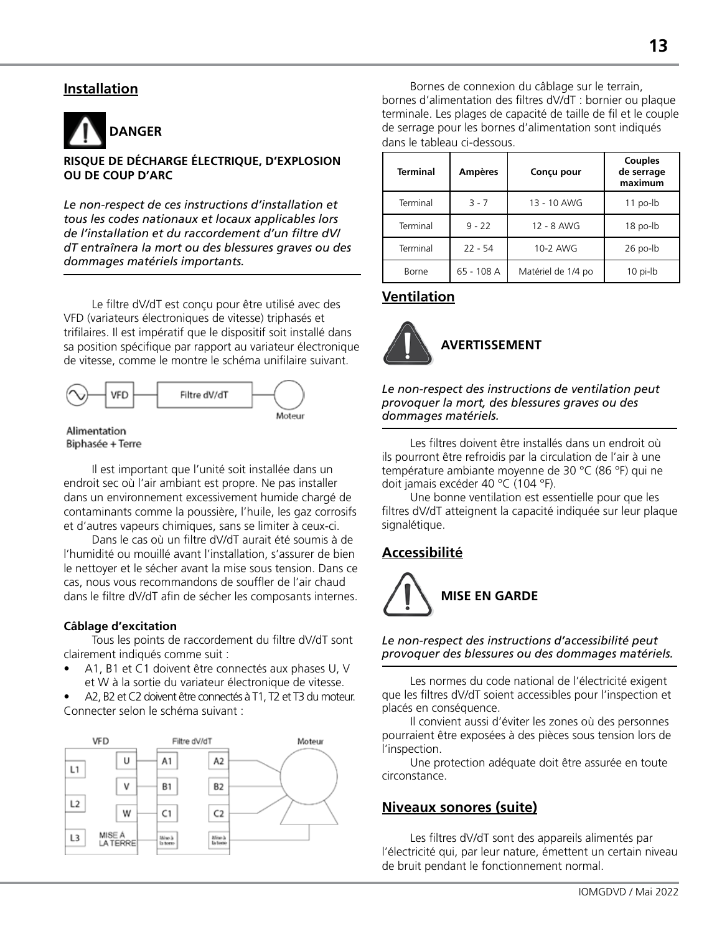# **Installation**



#### **RISQUE DE DÉCHARGE ÉLECTRIQUE, D'EXPLOSION OU DE COUP D'ARC**

*Le non-respect de ces instructions d'installation et tous les codes nationaux et locaux applicables lors de l'installation et du raccordement d'un filtre dV/ dT entraînera la mort ou des blessures graves ou des dommages matériels importants.*

Le filtre dV/dT est conçu pour être utilisé avec des VFD (variateurs électroniques de vitesse) triphasés et trifilaires. Il est impératif que le dispositif soit installé dans sa position spécifique par rapport au variateur électronique de vitesse, comme le montre le schéma unifilaire suivant.



#### Alimentation Biphasée + Terre

Il est important que l'unité soit installée dans un endroit sec où l'air ambiant est propre. Ne pas installer dans un environnement excessivement humide chargé de contaminants comme la poussière, l'huile, les gaz corrosifs et d'autres vapeurs chimiques, sans se limiter à ceux-ci.

Dans le cas où un filtre dV/dT aurait été soumis à de l'humidité ou mouillé avant l'installation, s'assurer de bien le nettoyer et le sécher avant la mise sous tension. Dans ce cas, nous vous recommandons de souffler de l'air chaud dans le filtre dV/dT afin de sécher les composants internes.

#### **Câblage d'excitation**

Tous les points de raccordement du filtre dV/dT sont clairement indiqués comme suit :

• A1, B1 et C1 doivent être connectés aux phases U, V et W à la sortie du variateur électronique de vitesse.

• A2, B2 et C2 doivent être connectés à T1, T2 et T3 du moteur. Connecter selon le schéma suivant :



Bornes de connexion du câblage sur le terrain, bornes d'alimentation des filtres dV/dT : bornier ou plaque terminale. Les plages de capacité de taille de fil et le couple de serrage pour les bornes d'alimentation sont indiqués dans le tableau ci-dessous.

| <b>Terminal</b> | <b>Ampères</b> | Conçu pour         | <b>Couples</b><br>de serrage<br>maximum |
|-----------------|----------------|--------------------|-----------------------------------------|
| Terminal        | $3 - 7$        | 13 - 10 AWG        | $11$ po-lb                              |
| Terminal        | $9 - 22$       | 12 - 8 AWG         | 18 po-lb                                |
| Terminal        | $22 - 54$      | 10-2 AWG           | $26$ po- $lb$                           |
| Borne           | 65 - 108 A     | Matériel de 1/4 po | 10 pi-lb                                |

# **Ventilation**



*Le non-respect des instructions de ventilation peut provoquer la mort, des blessures graves ou des dommages matériels.*

Les filtres doivent être installés dans un endroit où ils pourront être refroidis par la circulation de l'air à une température ambiante moyenne de 30 °C (86 °F) qui ne doit jamais excéder 40 °C (104 °F).

Une bonne ventilation est essentielle pour que les filtres dV/dT atteignent la capacité indiquée sur leur plaque signalétique.

# **Accessibilité**



#### *Le non-respect des instructions d'accessibilité peut provoquer des blessures ou des dommages matériels.*

Les normes du code national de l'électricité exigent que les filtres dV/dT soient accessibles pour l'inspection et placés en conséquence.

Il convient aussi d'éviter les zones où des personnes pourraient être exposées à des pièces sous tension lors de l'inspection.

Une protection adéquate doit être assurée en toute circonstance.

### **Niveaux sonores (suite)**

Les filtres dV/dT sont des appareils alimentés par l'électricité qui, par leur nature, émettent un certain niveau de bruit pendant le fonctionnement normal.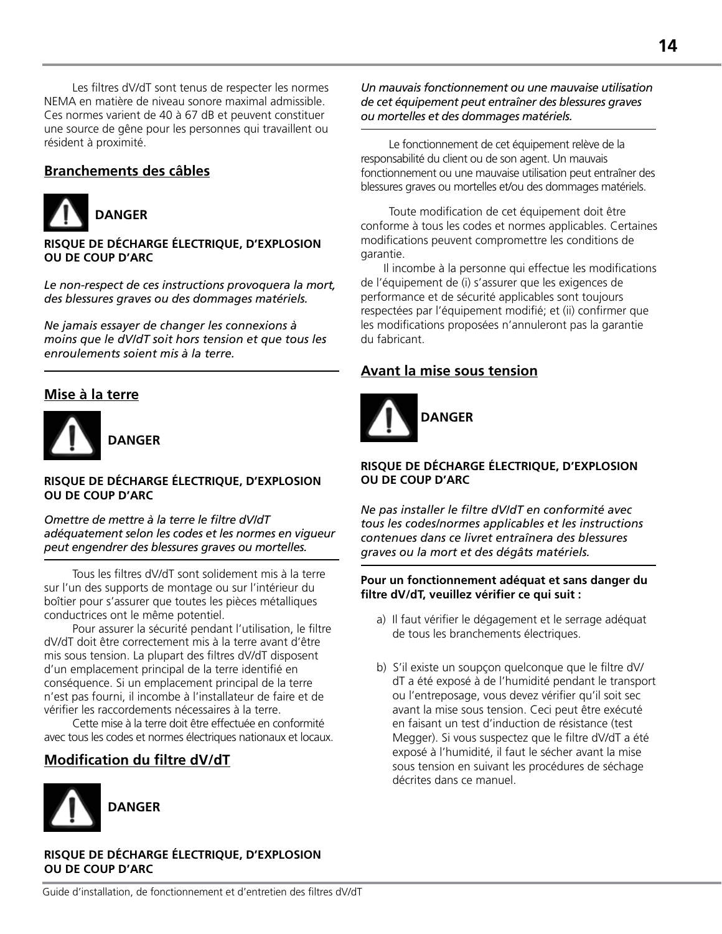Les filtres dV/dT sont tenus de respecter les normes NEMA en matière de niveau sonore maximal admissible. Ces normes varient de 40 à 67 dB et peuvent constituer une source de gêne pour les personnes qui travaillent ou résident à proximité.

# **Branchements des câbles**



**RISQUE DE DÉCHARGE ÉLECTRIQUE, D'EXPLOSION OU DE COUP D'ARC**

*Le non-respect de ces instructions provoquera la mort, des blessures graves ou des dommages matériels.*

*Ne jamais essayer de changer les connexions à moins que le dV/dT soit hors tension et que tous les enroulements soient mis à la terre.*

# **Mise à la terre**



#### **RISQUE DE DÉCHARGE ÉLECTRIQUE, D'EXPLOSION OU DE COUP D'ARC**

*Omettre de mettre à la terre le filtre dV/dT adéquatement selon les codes et les normes en vigueur peut engendrer des blessures graves ou mortelles.*

Tous les filtres dV/dT sont solidement mis à la terre sur l'un des supports de montage ou sur l'intérieur du boîtier pour s'assurer que toutes les pièces métalliques conductrices ont le même potentiel.

Pour assurer la sécurité pendant l'utilisation, le filtre dV/dT doit être correctement mis à la terre avant d'être mis sous tension. La plupart des filtres dV/dT disposent d'un emplacement principal de la terre identifié en conséquence. Si un emplacement principal de la terre n'est pas fourni, il incombe à l'installateur de faire et de vérifier les raccordements nécessaires à la terre.

Cette mise à la terre doit être effectuée en conformité avec tous les codes et normes électriques nationaux et locaux.

# **Modification du filtre dV/dT**



**RISQUE DE DÉCHARGE ÉLECTRIQUE, D'EXPLOSION OU DE COUP D'ARC**

*Un mauvais fonctionnement ou une mauvaise utilisation de cet équipement peut entraîner des blessures graves ou mortelles et des dommages matériels.*

Le fonctionnement de cet équipement relève de la responsabilité du client ou de son agent. Un mauvais fonctionnement ou une mauvaise utilisation peut entraîner des blessures graves ou mortelles et/ou des dommages matériels.

Toute modification de cet équipement doit être conforme à tous les codes et normes applicables. Certaines modifications peuvent compromettre les conditions de garantie.

 Il incombe à la personne qui effectue les modifications de l'équipement de (i) s'assurer que les exigences de performance et de sécurité applicables sont toujours respectées par l'équipement modifié; et (ii) confirmer que les modifications proposées n'annuleront pas la garantie du fabricant.

# **Avant la mise sous tension**



#### **RISQUE DE DÉCHARGE ÉLECTRIQUE, D'EXPLOSION OU DE COUP D'ARC**

*Ne pas installer le filtre dV/dT en conformité avec tous les codes/normes applicables et les instructions contenues dans ce livret entraînera des blessures graves ou la mort et des dégâts matériels.*

#### **Pour un fonctionnement adéquat et sans danger du filtre dV/dT, veuillez vérifier ce qui suit :**

- a) Il faut vérifier le dégagement et le serrage adéquat de tous les branchements électriques.
- b) S'il existe un soupçon quelconque que le filtre dV/ dT a été exposé à de l'humidité pendant le transport ou l'entreposage, vous devez vérifier qu'il soit sec avant la mise sous tension. Ceci peut être exécuté en faisant un test d'induction de résistance (test Megger). Si vous suspectez que le filtre dV/dT a été exposé à l'humidité, il faut le sécher avant la mise sous tension en suivant les procédures de séchage décrites dans ce manuel.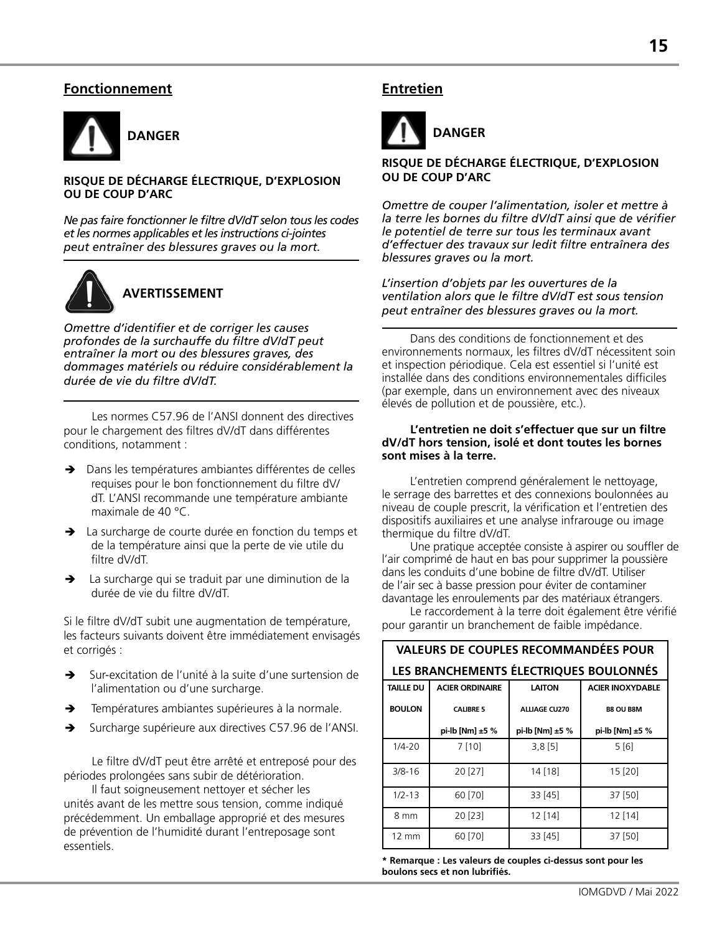# **Fonctionnement**



#### **RISQUE DE DÉCHARGE ÉLECTRIQUE, D'EXPLOSION OU DE COUP D'ARC**

*Ne pas faire fonctionner le filtre dV/dT selon tous les codes et les normes applicables et les instructions ci-jointes peut entraîner des blessures graves ou la mort.*



# **AVERTISSEMENT**

*Omettre d'identifier et de corriger les causes profondes de la surchauffe du filtre dV/dT peut entraîner la mort ou des blessures graves, des dommages matériels ou réduire considérablement la durée de vie du filtre dV/dT.*

Les normes C57.96 de l'ANSI donnent des directives pour le chargement des filtres dV/dT dans différentes conditions, notamment :

- → Dans les températures ambiantes différentes de celles requises pour le bon fonctionnement du filtre dV/ dT. L'ANSI recommande une température ambiante maximale de 40 °C.
- **→** La surcharge de courte durée en fonction du temps et de la température ainsi que la perte de vie utile du filtre dV/dT.
- $\rightarrow$  La surcharge qui se traduit par une diminution de la durée de vie du filtre dV/dT.

Si le filtre dV/dT subit une augmentation de température, les facteurs suivants doivent être immédiatement envisagés et corrigés :

- Sur-excitation de l'unité à la suite d'une surtension de l'alimentation ou d'une surcharge.
- $\rightarrow$  Températures ambiantes supérieures à la normale.
- Surcharge supérieure aux directives C57.96 de l'ANSI.

Le filtre dV/dT peut être arrêté et entreposé pour des périodes prolongées sans subir de détérioration.

Il faut soigneusement nettoyer et sécher les unités avant de les mettre sous tension, comme indiqué précédemment. Un emballage approprié et des mesures de prévention de l'humidité durant l'entreposage sont essentiels.

# **Entretien**



#### **RISQUE DE DÉCHARGE ÉLECTRIQUE, D'EXPLOSION OU DE COUP D'ARC**

*Omettre de couper l'alimentation, isoler et mettre à la terre les bornes du filtre dV/dT ainsi que de vérifier le potentiel de terre sur tous les terminaux avant d'effectuer des travaux sur ledit filtre entraînera des blessures graves ou la mort.*

*L'insertion d'objets par les ouvertures de la ventilation alors que le filtre dV/dT est sous tension peut entraîner des blessures graves ou la mort.*

Dans des conditions de fonctionnement et des environnements normaux, les filtres dV/dT nécessitent soin et inspection périodique. Cela est essentiel si l'unité est installée dans des conditions environnementales difficiles (par exemple, dans un environnement avec des niveaux élevés de pollution et de poussière, etc.).

#### **L'entretien ne doit s'effectuer que sur un filtre dV/dT hors tension, isolé et dont toutes les bornes sont mises à la terre.**

L'entretien comprend généralement le nettoyage, le serrage des barrettes et des connexions boulonnées au niveau de couple prescrit, la vérification et l'entretien des dispositifs auxiliaires et une analyse infrarouge ou image thermique du filtre dV/dT.

Une pratique acceptée consiste à aspirer ou souffler de l'air comprimé de haut en bas pour supprimer la poussière dans les conduits d'une bobine de filtre dV/dT. Utiliser de l'air sec à basse pression pour éviter de contaminer davantage les enroulements par des matériaux étrangers.

Le raccordement à la terre doit également être vérifié pour garantir un branchement de faible impédance.

| <b>VALEURS DE COUPLES RECOMMANDÉES POUR</b> |                                                                    |                      |                  |  |
|---------------------------------------------|--------------------------------------------------------------------|----------------------|------------------|--|
| LES BRANCHEMENTS ÉLECTRIQUES BOULONNÉS      |                                                                    |                      |                  |  |
| <b>TAILLE DU</b>                            | <b>ACIER ORDINAIRE</b><br><b>LAITON</b><br><b>ACIER INOXYDABLE</b> |                      |                  |  |
| <b>BOULON</b>                               | <b>CALIBRE 5</b>                                                   | <b>ALLIAGE CU270</b> | <b>B8 OU B8M</b> |  |
|                                             | pi-lb [Nm] ±5 %                                                    | pi-lb [Nm] $±5%$     | pi-lb [Nm] ±5 %  |  |
| $1/4 - 20$                                  | 7[10]                                                              | $3,8$ [5]            | 5[6]             |  |
| $3/8 - 16$                                  | 20 [27]                                                            | 14 [18]              | 15 [20]          |  |
| $1/2 - 13$                                  | 60 [70]                                                            | 33 [45]              | 37 [50]          |  |
| 8 mm                                        | 20 [23]                                                            | $12$ [14]            | 12 [14]          |  |
| 12 mm                                       | 60 [70]                                                            | 33 [45]              | 37 [50]          |  |

**\* Remarque : Les valeurs de couples ci-dessus sont pour les boulons secs et non lubrifiés.**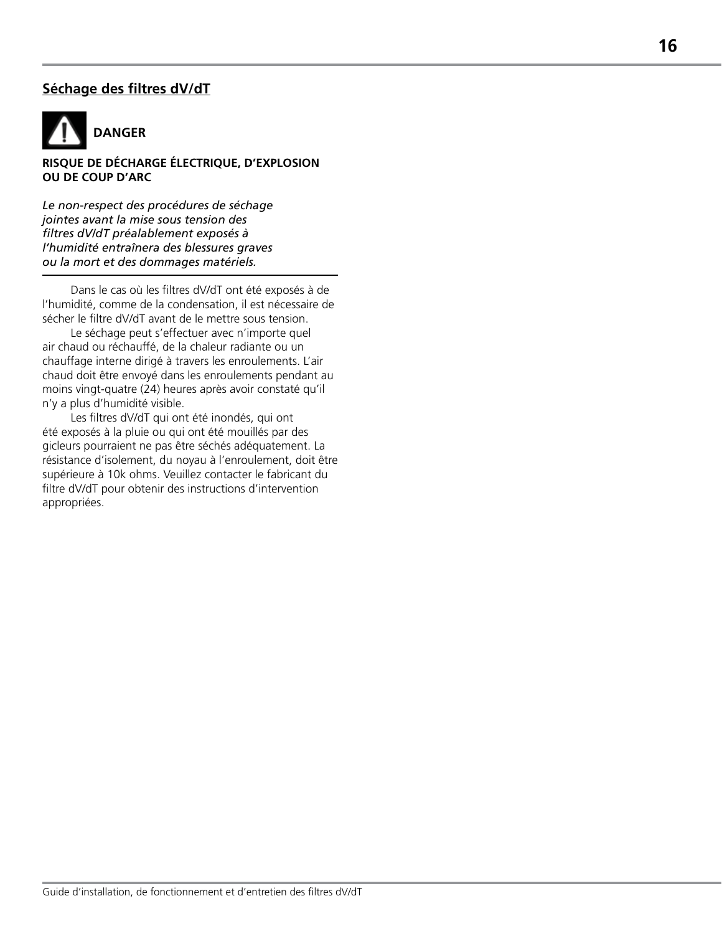# **Séchage des filtres dV/dT**



**RISQUE DE DÉCHARGE ÉLECTRIQUE, D'EXPLOSION OU DE COUP D'ARC** 

*Le non-respect des procédures de séchage jointes avant la mise sous tension des filtres dV/dT préalablement exposés à l'humidité entraînera des blessures graves ou la mort et des dommages matériels.*

Dans le cas où les filtres dV/dT ont été exposés à de l'humidité, comme de la condensation, il est nécessaire de sécher le filtre dV/dT avant de le mettre sous tension.

Le séchage peut s'effectuer avec n'importe quel air chaud ou réchauffé, de la chaleur radiante ou un chauffage interne dirigé à travers les enroulements. L'air chaud doit être envoyé dans les enroulements pendant au moins vingt-quatre (24) heures après avoir constaté qu'il n'y a plus d'humidité visible.

Les filtres dV/dT qui ont été inondés, qui ont été exposés à la pluie ou qui ont été mouillés par des gicleurs pourraient ne pas être séchés adéquatement. La résistance d'isolement, du noyau à l'enroulement, doit être supérieure à 10k ohms. Veuillez contacter le fabricant du filtre dV/dT pour obtenir des instructions d'intervention appropriées.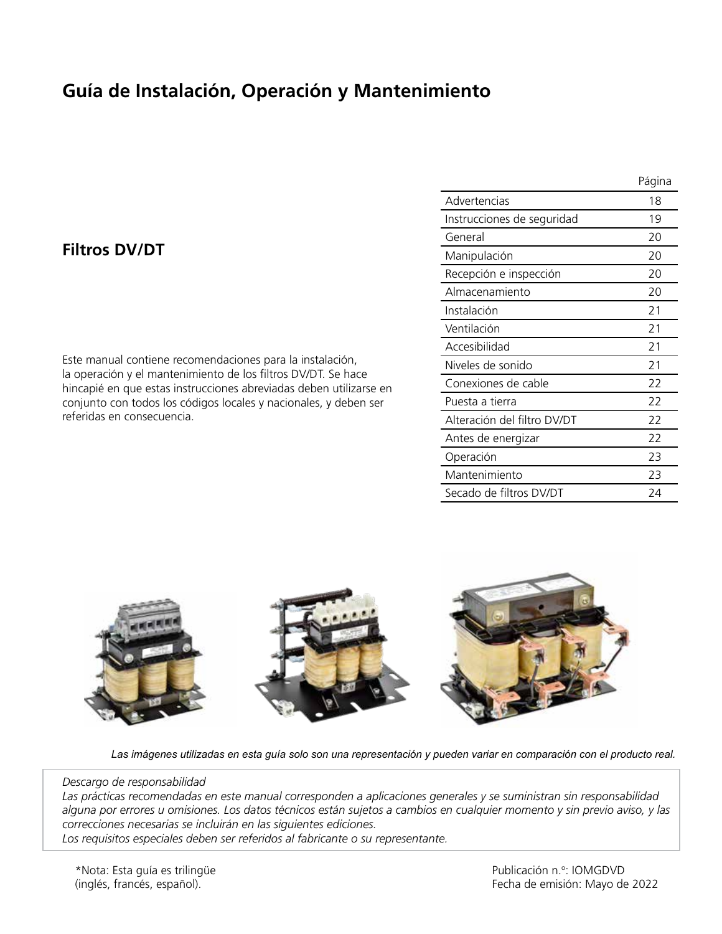# **Guía de Instalación, Operación y Mantenimiento**

# **Filtros DV/DT**

Este manual contiene recomendaciones para la instalación, la operación y el mantenimiento de los filtros DV/DT. Se hace hincapié en que estas instrucciones abreviadas deben utilizarse en conjunto con todos los códigos locales y nacionales, y deben ser referidas en consecuencia.

|                             | Página |
|-----------------------------|--------|
| Advertencias                | 18     |
| Instrucciones de seguridad  | 19     |
| General                     | 20     |
| Manipulación                | 20     |
| Recepción e inspección      | 20     |
| Almacenamiento              | 20     |
| Instalación                 | 21     |
| Ventilación                 | 21     |
| Accesibilidad               | 21     |
| Niveles de sonido           | 21     |
| Conexiones de cable         | 22     |
| Puesta a tierra             | 22     |
| Alteración del filtro DV/DT | 22     |
| Antes de energizar          | 22     |
| Operación                   | 23     |
| Mantenimiento               | 23     |
| Secado de filtros DV/DT     | 24     |



*Las imágenes utilizadas en esta guía solo son una representación y pueden variar en comparación con el producto real.*

#### *Descargo de responsabilidad*

*Las prácticas recomendadas en este manual corresponden a aplicaciones generales y se suministran sin responsabilidad alguna por errores u omisiones. Los datos técnicos están sujetos a cambios en cualquier momento y sin previo aviso, y las correcciones necesarias se incluirán en las siguientes ediciones.*

*Los requisitos especiales deben ser referidos al fabricante o su representante.*

\*Nota: Esta guía es trilingüe (inglés, francés, español).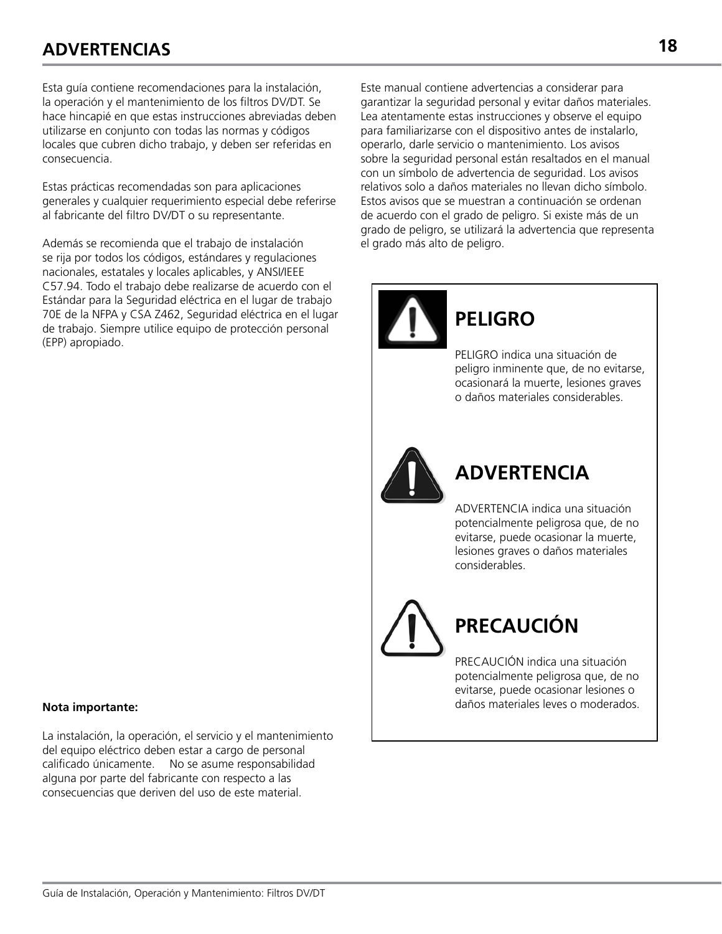# **ADVERTENCIAS 18**

Esta guía contiene recomendaciones para la instalación, la operación y el mantenimiento de los filtros DV/DT. Se hace hincapié en que estas instrucciones abreviadas deben utilizarse en conjunto con todas las normas y códigos locales que cubren dicho trabajo, y deben ser referidas en consecuencia.

Estas prácticas recomendadas son para aplicaciones generales y cualquier requerimiento especial debe referirse al fabricante del filtro DV/DT o su representante.

Además se recomienda que el trabajo de instalación se rija por todos los códigos, estándares y regulaciones nacionales, estatales y locales aplicables, y ANSI/IEEE C57.94. Todo el trabajo debe realizarse de acuerdo con el Estándar para la Seguridad eléctrica en el lugar de trabajo 70E de la NFPA y CSA Z462, Seguridad eléctrica en el lugar de trabajo. Siempre utilice equipo de protección personal (EPP) apropiado.

Este manual contiene advertencias a considerar para garantizar la seguridad personal y evitar daños materiales. Lea atentamente estas instrucciones y observe el equipo para familiarizarse con el dispositivo antes de instalarlo, operarlo, darle servicio o mantenimiento. Los avisos sobre la seguridad personal están resaltados en el manual con un símbolo de advertencia de seguridad. Los avisos relativos solo a daños materiales no llevan dicho símbolo. Estos avisos que se muestran a continuación se ordenan de acuerdo con el grado de peligro. Si existe más de un grado de peligro, se utilizará la advertencia que representa el grado más alto de peligro.

**PELIGRO**

# **ADVERTENCIA**

PELIGRO indica una situación de peligro inminente que, de no evitarse, ocasionará la muerte, lesiones graves o daños materiales considerables.

ADVERTENCIA indica una situación potencialmente peligrosa que, de no evitarse, puede ocasionar la muerte, lesiones graves o daños materiales considerables.

# **PRECAUCIÓN**

PRECAUCIÓN indica una situación potencialmente peligrosa que, de no evitarse, puede ocasionar lesiones o daños materiales leves o moderados.

#### **Nota importante:**

La instalación, la operación, el servicio y el mantenimiento del equipo eléctrico deben estar a cargo de personal calificado únicamente. No se asume responsabilidad alguna por parte del fabricante con respecto a las consecuencias que deriven del uso de este material.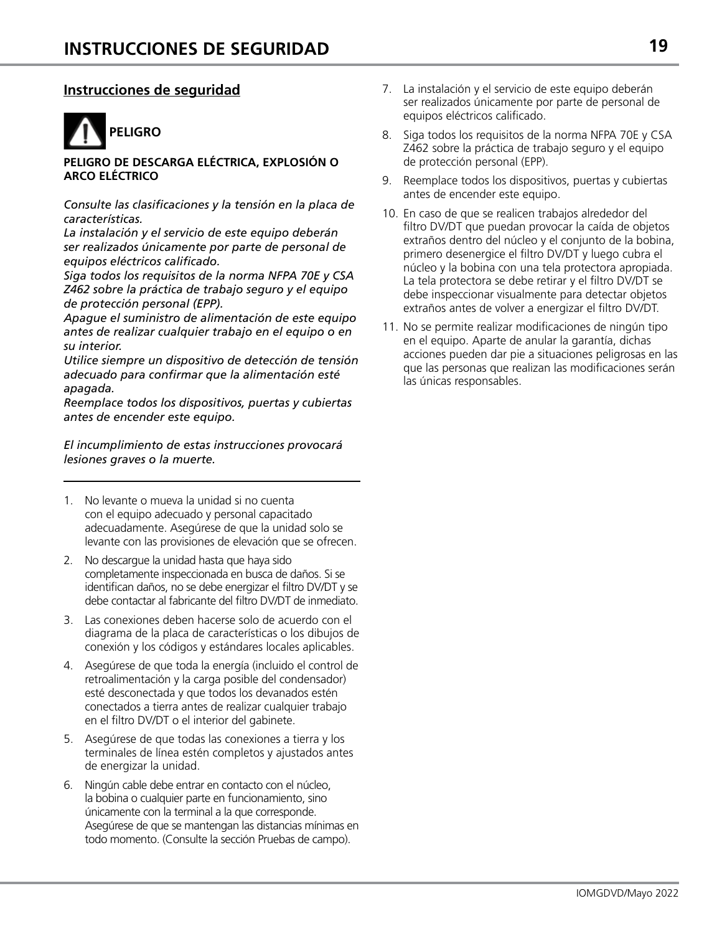# **Instrucciones de seguridad**



#### **PELIGRO DE DESCARGA ELÉCTRICA, EXPLOSIÓN O ARCO ELÉCTRICO**

*Consulte las clasificaciones y la tensión en la placa de características.*

*La instalación y el servicio de este equipo deberán ser realizados únicamente por parte de personal de equipos eléctricos calificado.*

*Siga todos los requisitos de la norma NFPA 70E y CSA Z462 sobre la práctica de trabajo seguro y el equipo de protección personal (EPP).*

*Apague el suministro de alimentación de este equipo antes de realizar cualquier trabajo en el equipo o en su interior.*

*Utilice siempre un dispositivo de detección de tensión adecuado para confirmar que la alimentación esté apagada.*

*Reemplace todos los dispositivos, puertas y cubiertas antes de encender este equipo.*

*El incumplimiento de estas instrucciones provocará lesiones graves o la muerte.*

- 1. No levante o mueva la unidad si no cuenta con el equipo adecuado y personal capacitado adecuadamente. Asegúrese de que la unidad solo se levante con las provisiones de elevación que se ofrecen.
- 2. No descargue la unidad hasta que haya sido completamente inspeccionada en busca de daños. Si se identifican daños, no se debe energizar el filtro DV/DT y se debe contactar al fabricante del filtro DV/DT de inmediato.
- 3. Las conexiones deben hacerse solo de acuerdo con el diagrama de la placa de características o los dibujos de conexión y los códigos y estándares locales aplicables.
- 4. Asegúrese de que toda la energía (incluido el control de retroalimentación y la carga posible del condensador) esté desconectada y que todos los devanados estén conectados a tierra antes de realizar cualquier trabajo en el filtro DV/DT o el interior del gabinete.
- 5. Asegúrese de que todas las conexiones a tierra y los terminales de línea estén completos y ajustados antes de energizar la unidad.
- 6. Ningún cable debe entrar en contacto con el núcleo, la bobina o cualquier parte en funcionamiento, sino únicamente con la terminal a la que corresponde. Asegúrese de que se mantengan las distancias mínimas en todo momento. (Consulte la sección Pruebas de campo).
- 7. La instalación y el servicio de este equipo deberán ser realizados únicamente por parte de personal de equipos eléctricos calificado.
- 8. Siga todos los requisitos de la norma NFPA 70E y CSA Z462 sobre la práctica de trabajo seguro y el equipo de protección personal (EPP).
- 9. Reemplace todos los dispositivos, puertas y cubiertas antes de encender este equipo.
- 10. En caso de que se realicen trabajos alrededor del filtro DV/DT que puedan provocar la caída de objetos extraños dentro del núcleo y el conjunto de la bobina, primero desenergice el filtro DV/DT y luego cubra el núcleo y la bobina con una tela protectora apropiada. La tela protectora se debe retirar y el filtro DV/DT se debe inspeccionar visualmente para detectar objetos extraños antes de volver a energizar el filtro DV/DT.
- 11. No se permite realizar modificaciones de ningún tipo en el equipo. Aparte de anular la garantía, dichas acciones pueden dar pie a situaciones peligrosas en las que las personas que realizan las modificaciones serán las únicas responsables.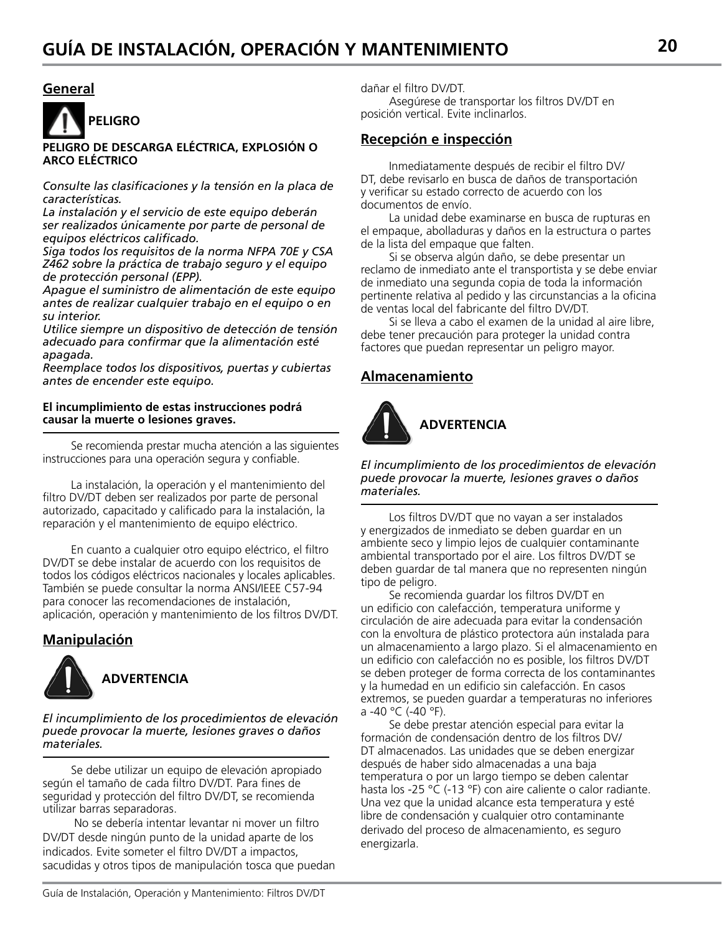### **General**



#### **PELIGRO DE DESCARGA ELÉCTRICA, EXPLOSIÓN O ARCO ELÉCTRICO**

*Consulte las clasificaciones y la tensión en la placa de características.*

*La instalación y el servicio de este equipo deberán ser realizados únicamente por parte de personal de equipos eléctricos calificado.*

*Siga todos los requisitos de la norma NFPA 70E y CSA Z462 sobre la práctica de trabajo seguro y el equipo de protección personal (EPP).*

*Apague el suministro de alimentación de este equipo antes de realizar cualquier trabajo en el equipo o en su interior.*

*Utilice siempre un dispositivo de detección de tensión adecuado para confirmar que la alimentación esté apagada.*

*Reemplace todos los dispositivos, puertas y cubiertas antes de encender este equipo.*

#### **El incumplimiento de estas instrucciones podrá causar la muerte o lesiones graves.**

Se recomienda prestar mucha atención a las siguientes instrucciones para una operación segura y confiable.

La instalación, la operación y el mantenimiento del filtro DV/DT deben ser realizados por parte de personal autorizado, capacitado y calificado para la instalación, la reparación y el mantenimiento de equipo eléctrico.

En cuanto a cualquier otro equipo eléctrico, el filtro DV/DT se debe instalar de acuerdo con los requisitos de todos los códigos eléctricos nacionales y locales aplicables. También se puede consultar la norma ANSI/IEEE C57-94 para conocer las recomendaciones de instalación, aplicación, operación y mantenimiento de los filtros DV/DT.

# **Manipulación**



*El incumplimiento de los procedimientos de elevación puede provocar la muerte, lesiones graves o daños materiales.*

Se debe utilizar un equipo de elevación apropiado según el tamaño de cada filtro DV/DT. Para fines de seguridad y protección del filtro DV/DT, se recomienda utilizar barras separadoras.

 No se debería intentar levantar ni mover un filtro DV/DT desde ningún punto de la unidad aparte de los indicados. Evite someter el filtro DV/DT a impactos, sacudidas y otros tipos de manipulación tosca que puedan dañar el filtro DV/DT.

Asegúrese de transportar los filtros DV/DT en posición vertical. Evite inclinarlos.

### **Recepción e inspección**

Inmediatamente después de recibir el filtro DV/ DT, debe revisarlo en busca de daños de transportación y verificar su estado correcto de acuerdo con los documentos de envío.

La unidad debe examinarse en busca de rupturas en el empaque, abolladuras y daños en la estructura o partes de la lista del empaque que falten.

Si se observa algún daño, se debe presentar un reclamo de inmediato ante el transportista y se debe enviar de inmediato una segunda copia de toda la información pertinente relativa al pedido y las circunstancias a la oficina de ventas local del fabricante del filtro DV/DT.

Si se lleva a cabo el examen de la unidad al aire libre, debe tener precaución para proteger la unidad contra factores que puedan representar un peligro mayor.

# **Almacenamiento**



*El incumplimiento de los procedimientos de elevación puede provocar la muerte, lesiones graves o daños materiales.*

Los filtros DV/DT que no vayan a ser instalados y energizados de inmediato se deben guardar en un ambiente seco y limpio lejos de cualquier contaminante ambiental transportado por el aire. Los filtros DV/DT se deben guardar de tal manera que no representen ningún tipo de peligro.

Se recomienda guardar los filtros DV/DT en un edificio con calefacción, temperatura uniforme y circulación de aire adecuada para evitar la condensación con la envoltura de plástico protectora aún instalada para un almacenamiento a largo plazo. Si el almacenamiento en un edificio con calefacción no es posible, los filtros DV/DT se deben proteger de forma correcta de los contaminantes y la humedad en un edificio sin calefacción. En casos extremos, se pueden guardar a temperaturas no inferiores a -40 °C (-40 °F).

Se debe prestar atención especial para evitar la formación de condensación dentro de los filtros DV/ DT almacenados. Las unidades que se deben energizar después de haber sido almacenadas a una baja temperatura o por un largo tiempo se deben calentar hasta los -25 °C (-13 °F) con aire caliente o calor radiante. Una vez que la unidad alcance esta temperatura y esté libre de condensación y cualquier otro contaminante derivado del proceso de almacenamiento, es seguro energizarla.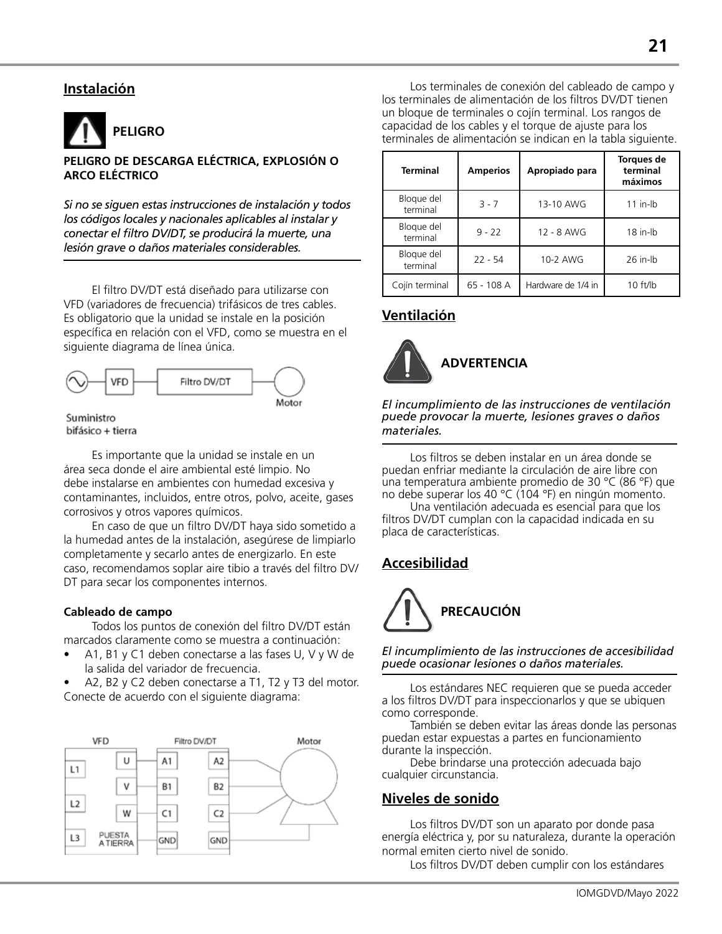# **Instalación**



#### **PELIGRO DE DESCARGA ELÉCTRICA, EXPLOSIÓN O ARCO ELÉCTRICO**

*Si no se siguen estas instrucciones de instalación y todos los códigos locales y nacionales aplicables al instalar y conectar el filtro DV/DT, se producirá la muerte, una lesión grave o daños materiales considerables.*

El filtro DV/DT está diseñado para utilizarse con VFD (variadores de frecuencia) trifásicos de tres cables. Es obligatorio que la unidad se instale en la posición específica en relación con el VFD, como se muestra en el siguiente diagrama de línea única.



Suministro bifásico + tierra

Es importante que la unidad se instale en un área seca donde el aire ambiental esté limpio. No debe instalarse en ambientes con humedad excesiva y contaminantes, incluidos, entre otros, polvo, aceite, gases corrosivos y otros vapores químicos.

En caso de que un filtro DV/DT haya sido sometido a la humedad antes de la instalación, asegúrese de limpiarlo completamente y secarlo antes de energizarlo. En este caso, recomendamos soplar aire tibio a través del filtro DV/ DT para secar los componentes internos.

#### **Cableado de campo**

Todos los puntos de conexión del filtro DV/DT están marcados claramente como se muestra a continuación:

- A1, B1 y C1 deben conectarse a las fases U, V y W de la salida del variador de frecuencia.
- A2, B2 y C2 deben conectarse a T1, T2 y T3 del motor. Conecte de acuerdo con el siguiente diagrama:



Los terminales de conexión del cableado de campo y los terminales de alimentación de los filtros DV/DT tienen un bloque de terminales o cojín terminal. Los rangos de capacidad de los cables y el torque de ajuste para los terminales de alimentación se indican en la tabla siguiente.

| <b>Terminal</b>        | <b>Amperios</b> | Apropiado para     | <b>Torques de</b><br>terminal<br>máximos |
|------------------------|-----------------|--------------------|------------------------------------------|
| Bloque del<br>terminal | $3 - 7$         | 13-10 AWG          | $11$ in-lb                               |
| Bloque del<br>terminal | $9 - 22$        | 12 - 8 AWG         | 18 in-lb                                 |
| Bloque del<br>terminal | $22 - 54$       | 10-2 AWG           | 26 in-lb                                 |
| Cojín terminal         | 65 - 108 A      | Hardware de 1/4 in | 10 ft/lb                                 |

# **Ventilación**



*El incumplimiento de las instrucciones de ventilación puede provocar la muerte, lesiones graves o daños materiales.*

Los filtros se deben instalar en un área donde se puedan enfriar mediante la circulación de aire libre con una temperatura ambiente promedio de 30 °C (86 °F) que no debe superar los 40 °C (104 °F) en ningún momento.

Una ventilación adecuada es esencial para que los filtros DV/DT cumplan con la capacidad indicada en su placa de características.

# **Accesibilidad**



*El incumplimiento de las instrucciones de accesibilidad puede ocasionar lesiones o daños materiales.*

Los estándares NEC requieren que se pueda acceder a los filtros DV/DT para inspeccionarlos y que se ubiquen como corresponde.

También se deben evitar las áreas donde las personas puedan estar expuestas a partes en funcionamiento durante la inspección.

Debe brindarse una protección adecuada bajo cualquier circunstancia.

### **Niveles de sonido**

Los filtros DV/DT son un aparato por donde pasa energía eléctrica y, por su naturaleza, durante la operación normal emiten cierto nivel de sonido.

Los filtros DV/DT deben cumplir con los estándares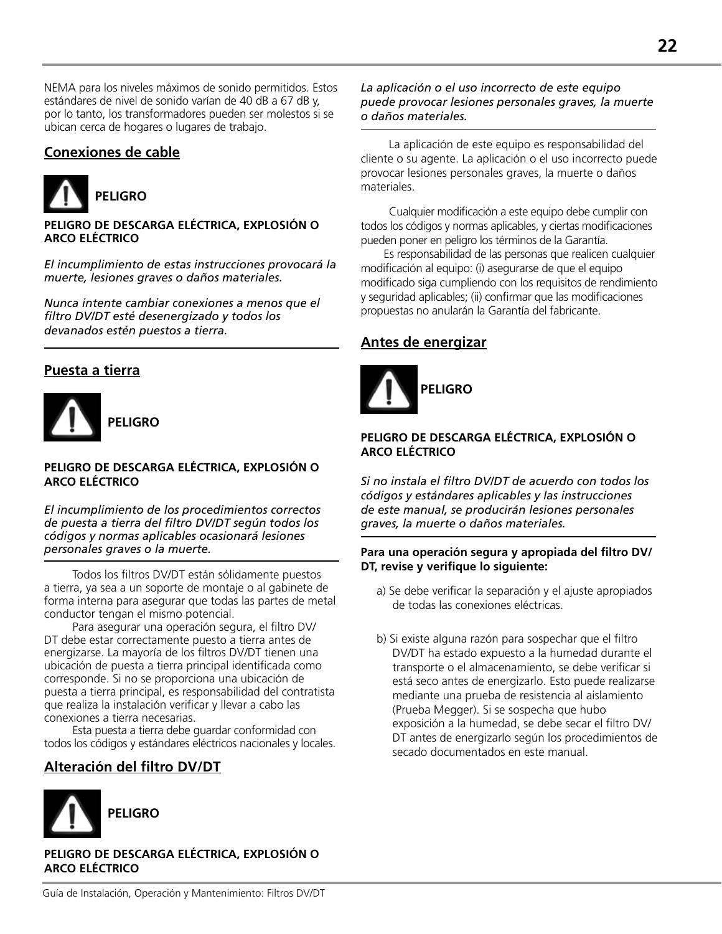NEMA para los niveles máximos de sonido permitidos. Estos estándares de nivel de sonido varían de 40 dB a 67 dB y, por lo tanto, los transformadores pueden ser molestos si se ubican cerca de hogares o lugares de trabajo.

# **Conexiones de cable**



#### **PELIGRO DE DESCARGA ELÉCTRICA, EXPLOSIÓN O ARCO ELÉCTRICO**

*El incumplimiento de estas instrucciones provocará la muerte, lesiones graves o daños materiales.*

*Nunca intente cambiar conexiones a menos que el filtro DV/DT esté desenergizado y todos los devanados estén puestos a tierra.*

# **Puesta a tierra**



#### **PELIGRO DE DESCARGA ELÉCTRICA, EXPLOSIÓN O ARCO ELÉCTRICO**

*El incumplimiento de los procedimientos correctos de puesta a tierra del filtro DV/DT según todos los códigos y normas aplicables ocasionará lesiones personales graves o la muerte.*

Todos los filtros DV/DT están sólidamente puestos a tierra, ya sea a un soporte de montaje o al gabinete de forma interna para asegurar que todas las partes de metal conductor tengan el mismo potencial.

Para asegurar una operación segura, el filtro DV/ DT debe estar correctamente puesto a tierra antes de energizarse. La mayoría de los filtros DV/DT tienen una ubicación de puesta a tierra principal identificada como corresponde. Si no se proporciona una ubicación de puesta a tierra principal, es responsabilidad del contratista que realiza la instalación verificar y llevar a cabo las conexiones a tierra necesarias.

Esta puesta a tierra debe guardar conformidad con todos los códigos y estándares eléctricos nacionales y locales.

# **Alteración del filtro DV/DT**



#### **PELIGRO DE DESCARGA ELÉCTRICA, EXPLOSIÓN O ARCO ELÉCTRICO**

*La aplicación o el uso incorrecto de este equipo puede provocar lesiones personales graves, la muerte o daños materiales.*

La aplicación de este equipo es responsabilidad del cliente o su agente. La aplicación o el uso incorrecto puede provocar lesiones personales graves, la muerte o daños materiales.

Cualquier modificación a este equipo debe cumplir con todos los códigos y normas aplicables, y ciertas modificaciones pueden poner en peligro los términos de la Garantía.

 Es responsabilidad de las personas que realicen cualquier modificación al equipo: (i) asegurarse de que el equipo modificado siga cumpliendo con los requisitos de rendimiento y seguridad aplicables; (ii) confirmar que las modificaciones propuestas no anularán la Garantía del fabricante.

# **Antes de energizar**



#### **PELIGRO DE DESCARGA ELÉCTRICA, EXPLOSIÓN O ARCO ELÉCTRICO**

*Si no instala el filtro DV/DT de acuerdo con todos los códigos y estándares aplicables y las instrucciones de este manual, se producirán lesiones personales graves, la muerte o daños materiales.*

#### **Para una operación segura y apropiada del filtro DV/ DT, revise y verifique lo siguiente:**

- a) Se debe verificar la separación y el ajuste apropiados de todas las conexiones eléctricas.
- b) Si existe alguna razón para sospechar que el filtro DV/DT ha estado expuesto a la humedad durante el transporte o el almacenamiento, se debe verificar si está seco antes de energizarlo. Esto puede realizarse mediante una prueba de resistencia al aislamiento (Prueba Megger). Si se sospecha que hubo exposición a la humedad, se debe secar el filtro DV/ DT antes de energizarlo según los procedimientos de secado documentados en este manual.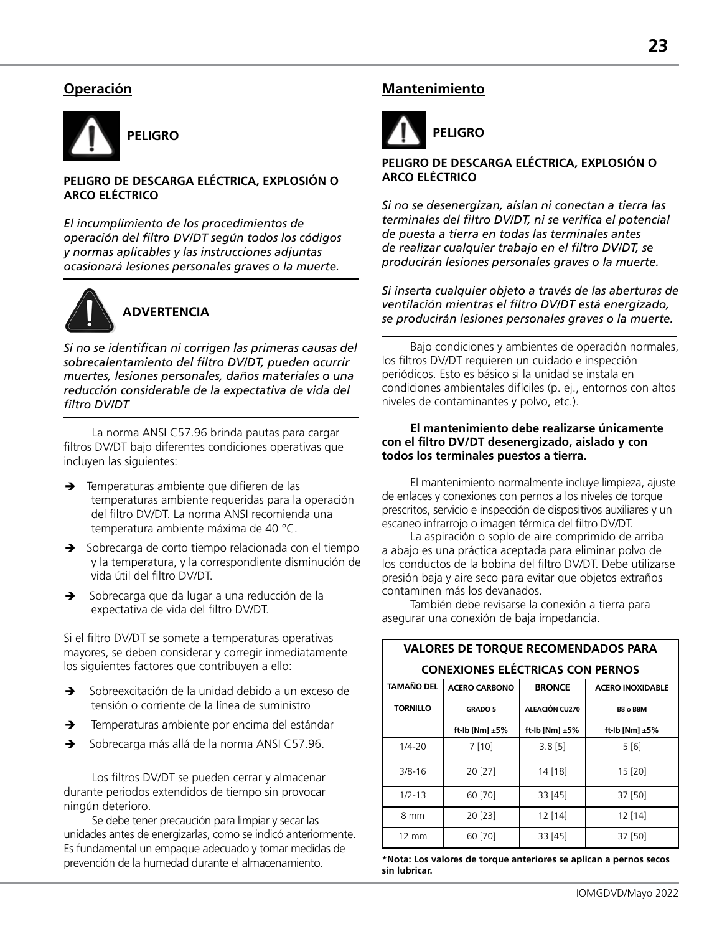# **Operación**



#### **PELIGRO DE DESCARGA ELÉCTRICA, EXPLOSIÓN O ARCO ELÉCTRICO**

*El incumplimiento de los procedimientos de operación del filtro DV/DT según todos los códigos y normas aplicables y las instrucciones adjuntas ocasionará lesiones personales graves o la muerte.*



*Si no se identifican ni corrigen las primeras causas del sobrecalentamiento del filtro DV/DT, pueden ocurrir muertes, lesiones personales, daños materiales o una reducción considerable de la expectativa de vida del filtro DV/DT*

La norma ANSI C57.96 brinda pautas para cargar filtros DV/DT bajo diferentes condiciones operativas que incluyen las siguientes:

- $\rightarrow$  Temperaturas ambiente que difieren de las temperaturas ambiente requeridas para la operación del filtro DV/DT. La norma ANSI recomienda una temperatura ambiente máxima de 40 °C.
- $\rightarrow$  Sobrecarga de corto tiempo relacionada con el tiempo y la temperatura, y la correspondiente disminución de vida útil del filtro DV/DT.
- Sobrecarga que da lugar a una reducción de la expectativa de vida del filtro DV/DT.

Si el filtro DV/DT se somete a temperaturas operativas mayores, se deben considerar y corregir inmediatamente los siguientes factores que contribuyen a ello:

- Sobreexcitación de la unidad debido a un exceso de tensión o corriente de la línea de suministro
- $\rightarrow$  Temperaturas ambiente por encima del estándar
- Sobrecarga más allá de la norma ANSI C57.96.

Los filtros DV/DT se pueden cerrar y almacenar durante periodos extendidos de tiempo sin provocar ningún deterioro.

Se debe tener precaución para limpiar y secar las unidades antes de energizarlas, como se indicó anteriormente. Es fundamental un empaque adecuado y tomar medidas de prevención de la humedad durante el almacenamiento.

### **Mantenimiento**



#### **PELIGRO DE DESCARGA ELÉCTRICA, EXPLOSIÓN O ARCO ELÉCTRICO**

*Si no se desenergizan, aíslan ni conectan a tierra las terminales del filtro DV/DT, ni se verifica el potencial de puesta a tierra en todas las terminales antes de realizar cualquier trabajo en el filtro DV/DT, se producirán lesiones personales graves o la muerte.*

*Si inserta cualquier objeto a través de las aberturas de ventilación mientras el filtro DV/DT está energizado, se producirán lesiones personales graves o la muerte.*

Bajo condiciones y ambientes de operación normales, los filtros DV/DT requieren un cuidado e inspección periódicos. Esto es básico si la unidad se instala en condiciones ambientales difíciles (p. ej., entornos con altos niveles de contaminantes y polvo, etc.).

#### **El mantenimiento debe realizarse únicamente con el filtro DV/DT desenergizado, aislado y con todos los terminales puestos a tierra.**

El mantenimiento normalmente incluye limpieza, ajuste de enlaces y conexiones con pernos a los niveles de torque prescritos, servicio e inspección de dispositivos auxiliares y un escaneo infrarrojo o imagen térmica del filtro DV/DT.

La aspiración o soplo de aire comprimido de arriba a abajo es una práctica aceptada para eliminar polvo de los conductos de la bobina del filtro DV/DT. Debe utilizarse presión baja y aire seco para evitar que objetos extraños contaminen más los devanados.

**VALORES DE TORQUE RECOMENDADOS PARA**

También debe revisarse la conexión a tierra para asegurar una conexión de baja impedancia.

| <b>CONEXIONES ELÉCTRICAS CON PERNOS</b> |                      |                     |                         |
|-----------------------------------------|----------------------|---------------------|-------------------------|
| <b>TAMAÑO DEL</b>                       | <b>ACERO CARBONO</b> | <b>BRONCE</b>       | <b>ACERO INOXIDABLE</b> |
| <b>TORNILLO</b>                         | <b>GRADO 5</b>       | ALEACIÓN CU270      | <b>B8 o B8M</b>         |
|                                         | ft-lb [Nm] $±5\%$    | ft-lb [Nm] $\pm$ 5% | ft-lb [Nm] $±5\%$       |
| $1/4 - 20$                              | 7[10]                | 3.8[5]              | 5[6]                    |
| $3/8 - 16$                              | 20 [27]              | 14 [18]             | 15 [20]                 |
| $1/2 - 13$                              | 60 [70]              | 33 [45]             | 37 [50]                 |
| 8 mm                                    | 20 [23]              | 12 [14]             | $12$ [14]               |
| $12 \text{ mm}$                         | 60 [70]              | 33 [45]             | 37 [50]                 |

**\*Nota: Los valores de torque anteriores se aplican a pernos secos sin lubricar.**